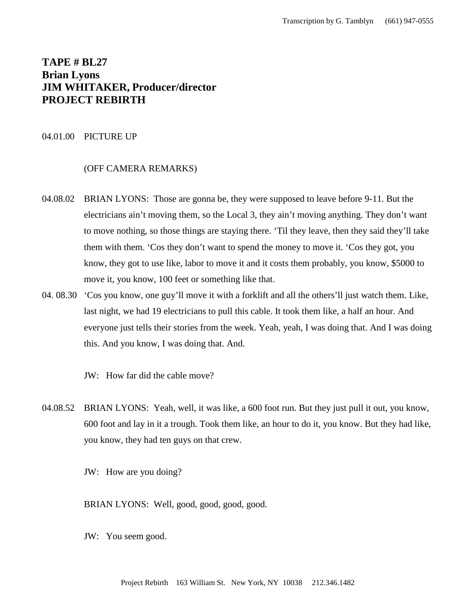# **TAPE # BL27 Brian Lyons JIM WHITAKER, Producer/director PROJECT REBIRTH**

## 04.01.00 PICTURE UP

### (OFF CAMERA REMARKS)

- 04.08.02 BRIAN LYONS: Those are gonna be, they were supposed to leave before 9-11. But the electricians ain't moving them, so the Local 3, they ain't moving anything. They don't want to move nothing, so those things are staying there. 'Til they leave, then they said they'll take them with them. 'Cos they don't want to spend the money to move it. 'Cos they got, you know, they got to use like, labor to move it and it costs them probably, you know, \$5000 to move it, you know, 100 feet or something like that.
- 04. 08.30 'Cos you know, one guy'll move it with a forklift and all the others'll just watch them. Like, last night, we had 19 electricians to pull this cable. It took them like, a half an hour. And everyone just tells their stories from the week. Yeah, yeah, I was doing that. And I was doing this. And you know, I was doing that. And.

JW: How far did the cable move?

04.08.52 BRIAN LYONS: Yeah, well, it was like, a 600 foot run. But they just pull it out, you know, 600 foot and lay in it a trough. Took them like, an hour to do it, you know. But they had like, you know, they had ten guys on that crew.

JW: How are you doing?

BRIAN LYONS: Well, good, good, good, good.

JW: You seem good.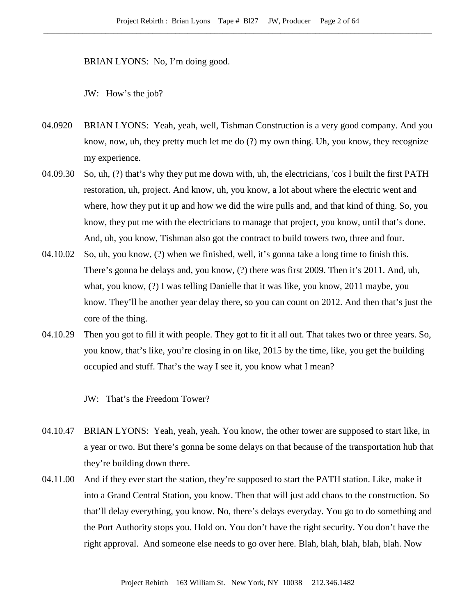BRIAN LYONS: No, I'm doing good.

JW: How's the job?

- 04.0920 BRIAN LYONS: Yeah, yeah, well, Tishman Construction is a very good company. And you know, now, uh, they pretty much let me do (?) my own thing. Uh, you know, they recognize my experience.
- 04.09.30 So, uh, (?) that's why they put me down with, uh, the electricians, 'cos I built the first PATH restoration, uh, project. And know, uh, you know, a lot about where the electric went and where, how they put it up and how we did the wire pulls and, and that kind of thing. So, you know, they put me with the electricians to manage that project, you know, until that's done. And, uh, you know, Tishman also got the contract to build towers two, three and four.
- 04.10.02 So, uh, you know, (?) when we finished, well, it's gonna take a long time to finish this. There's gonna be delays and, you know, (?) there was first 2009. Then it's 2011. And, uh, what, you know, (?) I was telling Danielle that it was like, you know, 2011 maybe, you know. They'll be another year delay there, so you can count on 2012. And then that's just the core of the thing.
- 04.10.29 Then you got to fill it with people. They got to fit it all out. That takes two or three years. So, you know, that's like, you're closing in on like, 2015 by the time, like, you get the building occupied and stuff. That's the way I see it, you know what I mean?

JW: That's the Freedom Tower?

- 04.10.47 BRIAN LYONS: Yeah, yeah, yeah. You know, the other tower are supposed to start like, in a year or two. But there's gonna be some delays on that because of the transportation hub that they're building down there.
- 04.11.00 And if they ever start the station, they're supposed to start the PATH station. Like, make it into a Grand Central Station, you know. Then that will just add chaos to the construction. So that'll delay everything, you know. No, there's delays everyday. You go to do something and the Port Authority stops you. Hold on. You don't have the right security. You don't have the right approval. And someone else needs to go over here. Blah, blah, blah, blah, blah. Now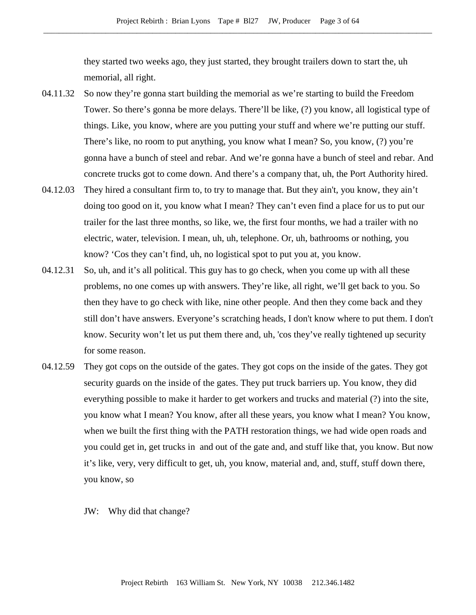they started two weeks ago, they just started, they brought trailers down to start the, uh memorial, all right.

- 04.11.32 So now they're gonna start building the memorial as we're starting to build the Freedom Tower. So there's gonna be more delays. There'll be like, (?) you know, all logistical type of things. Like, you know, where are you putting your stuff and where we're putting our stuff. There's like, no room to put anything, you know what I mean? So, you know, (?) you're gonna have a bunch of steel and rebar. And we're gonna have a bunch of steel and rebar. And concrete trucks got to come down. And there's a company that, uh, the Port Authority hired.
- 04.12.03 They hired a consultant firm to, to try to manage that. But they ain't, you know, they ain't doing too good on it, you know what I mean? They can't even find a place for us to put our trailer for the last three months, so like, we, the first four months, we had a trailer with no electric, water, television. I mean, uh, uh, telephone. Or, uh, bathrooms or nothing, you know? 'Cos they can't find, uh, no logistical spot to put you at, you know.
- 04.12.31 So, uh, and it's all political. This guy has to go check, when you come up with all these problems, no one comes up with answers. They're like, all right, we'll get back to you. So then they have to go check with like, nine other people. And then they come back and they still don't have answers. Everyone's scratching heads, I don't know where to put them. I don't know. Security won't let us put them there and, uh, 'cos they've really tightened up security for some reason.
- 04.12.59 They got cops on the outside of the gates. They got cops on the inside of the gates. They got security guards on the inside of the gates. They put truck barriers up. You know, they did everything possible to make it harder to get workers and trucks and material (?) into the site, you know what I mean? You know, after all these years, you know what I mean? You know, when we built the first thing with the PATH restoration things, we had wide open roads and you could get in, get trucks in and out of the gate and, and stuff like that, you know. But now it's like, very, very difficult to get, uh, you know, material and, and, stuff, stuff down there, you know, so
	- JW: Why did that change?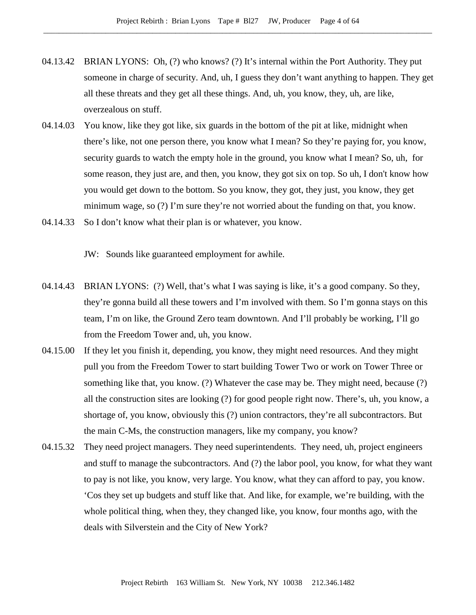- 04.13.42 BRIAN LYONS: Oh, (?) who knows? (?) It's internal within the Port Authority. They put someone in charge of security. And, uh, I guess they don't want anything to happen. They get all these threats and they get all these things. And, uh, you know, they, uh, are like, overzealous on stuff.
- 04.14.03 You know, like they got like, six guards in the bottom of the pit at like, midnight when there's like, not one person there, you know what I mean? So they're paying for, you know, security guards to watch the empty hole in the ground, you know what I mean? So, uh, for some reason, they just are, and then, you know, they got six on top. So uh, I don't know how you would get down to the bottom. So you know, they got, they just, you know, they get minimum wage, so (?) I'm sure they're not worried about the funding on that, you know.
- 04.14.33 So I don't know what their plan is or whatever, you know.

JW: Sounds like guaranteed employment for awhile.

- 04.14.43 BRIAN LYONS: (?) Well, that's what I was saying is like, it's a good company. So they, they're gonna build all these towers and I'm involved with them. So I'm gonna stays on this team, I'm on like, the Ground Zero team downtown. And I'll probably be working, I'll go from the Freedom Tower and, uh, you know.
- 04.15.00 If they let you finish it, depending, you know, they might need resources. And they might pull you from the Freedom Tower to start building Tower Two or work on Tower Three or something like that, you know. (?) Whatever the case may be. They might need, because (?) all the construction sites are looking (?) for good people right now. There's, uh, you know, a shortage of, you know, obviously this (?) union contractors, they're all subcontractors. But the main C-Ms, the construction managers, like my company, you know?
- 04.15.32 They need project managers. They need superintendents. They need, uh, project engineers and stuff to manage the subcontractors. And (?) the labor pool, you know, for what they want to pay is not like, you know, very large. You know, what they can afford to pay, you know. 'Cos they set up budgets and stuff like that. And like, for example, we're building, with the whole political thing, when they, they changed like, you know, four months ago, with the deals with Silverstein and the City of New York?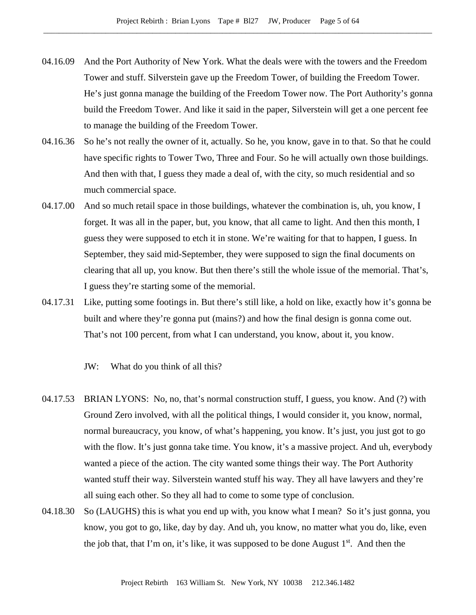- 04.16.09 And the Port Authority of New York. What the deals were with the towers and the Freedom Tower and stuff. Silverstein gave up the Freedom Tower, of building the Freedom Tower. He's just gonna manage the building of the Freedom Tower now. The Port Authority's gonna build the Freedom Tower. And like it said in the paper, Silverstein will get a one percent fee to manage the building of the Freedom Tower.
- 04.16.36 So he's not really the owner of it, actually. So he, you know, gave in to that. So that he could have specific rights to Tower Two, Three and Four. So he will actually own those buildings. And then with that, I guess they made a deal of, with the city, so much residential and so much commercial space.
- 04.17.00 And so much retail space in those buildings, whatever the combination is, uh, you know, I forget. It was all in the paper, but, you know, that all came to light. And then this month, I guess they were supposed to etch it in stone. We're waiting for that to happen, I guess. In September, they said mid-September, they were supposed to sign the final documents on clearing that all up, you know. But then there's still the whole issue of the memorial. That's, I guess they're starting some of the memorial.
- 04.17.31 Like, putting some footings in. But there's still like, a hold on like, exactly how it's gonna be built and where they're gonna put (mains?) and how the final design is gonna come out. That's not 100 percent, from what I can understand, you know, about it, you know.
	- JW: What do you think of all this?
- 04.17.53 BRIAN LYONS: No, no, that's normal construction stuff, I guess, you know. And (?) with Ground Zero involved, with all the political things, I would consider it, you know, normal, normal bureaucracy, you know, of what's happening, you know. It's just, you just got to go with the flow. It's just gonna take time. You know, it's a massive project. And uh, everybody wanted a piece of the action. The city wanted some things their way. The Port Authority wanted stuff their way. Silverstein wanted stuff his way. They all have lawyers and they're all suing each other. So they all had to come to some type of conclusion.
- 04.18.30 So (LAUGHS) this is what you end up with, you know what I mean? So it's just gonna, you know, you got to go, like, day by day. And uh, you know, no matter what you do, like, even the job that, that I'm on, it's like, it was supposed to be done August  $1<sup>st</sup>$ . And then the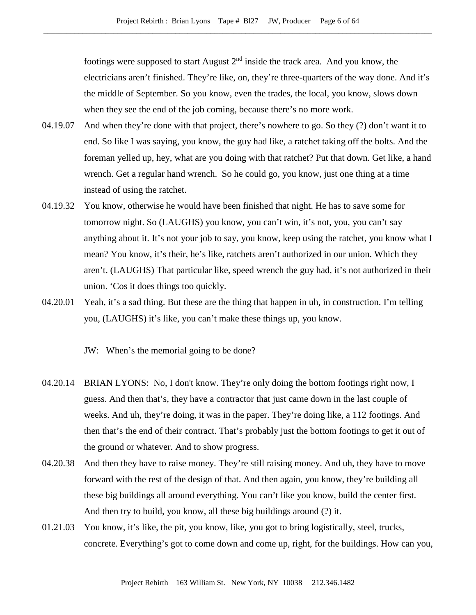footings were supposed to start August  $2<sup>nd</sup>$  inside the track area. And you know, the electricians aren't finished. They're like, on, they're three-quarters of the way done. And it's the middle of September. So you know, even the trades, the local, you know, slows down when they see the end of the job coming, because there's no more work.

- 04.19.07 And when they're done with that project, there's nowhere to go. So they (?) don't want it to end. So like I was saying, you know, the guy had like, a ratchet taking off the bolts. And the foreman yelled up, hey, what are you doing with that ratchet? Put that down. Get like, a hand wrench. Get a regular hand wrench. So he could go, you know, just one thing at a time instead of using the ratchet.
- 04.19.32 You know, otherwise he would have been finished that night. He has to save some for tomorrow night. So (LAUGHS) you know, you can't win, it's not, you, you can't say anything about it. It's not your job to say, you know, keep using the ratchet, you know what I mean? You know, it's their, he's like, ratchets aren't authorized in our union. Which they aren't. (LAUGHS) That particular like, speed wrench the guy had, it's not authorized in their union. 'Cos it does things too quickly.
- 04.20.01 Yeah, it's a sad thing. But these are the thing that happen in uh, in construction. I'm telling you, (LAUGHS) it's like, you can't make these things up, you know.

JW: When's the memorial going to be done?

- 04.20.14 BRIAN LYONS: No, I don't know. They're only doing the bottom footings right now, I guess. And then that's, they have a contractor that just came down in the last couple of weeks. And uh, they're doing, it was in the paper. They're doing like, a 112 footings. And then that's the end of their contract. That's probably just the bottom footings to get it out of the ground or whatever. And to show progress.
- 04.20.38 And then they have to raise money. They're still raising money. And uh, they have to move forward with the rest of the design of that. And then again, you know, they're building all these big buildings all around everything. You can't like you know, build the center first. And then try to build, you know, all these big buildings around (?) it.
- 01.21.03 You know, it's like, the pit, you know, like, you got to bring logistically, steel, trucks, concrete. Everything's got to come down and come up, right, for the buildings. How can you,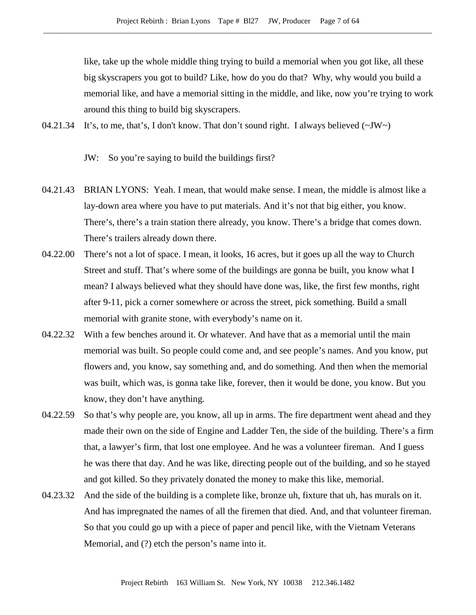like, take up the whole middle thing trying to build a memorial when you got like, all these big skyscrapers you got to build? Like, how do you do that? Why, why would you build a memorial like, and have a memorial sitting in the middle, and like, now you're trying to work around this thing to build big skyscrapers.

04.21.34 It's, to me, that's, I don't know. That don't sound right. I always believed  $(\sim JW)$ 

JW: So you're saying to build the buildings first?

- 04.21.43 BRIAN LYONS: Yeah. I mean, that would make sense. I mean, the middle is almost like a lay-down area where you have to put materials. And it's not that big either, you know. There's, there's a train station there already, you know. There's a bridge that comes down. There's trailers already down there.
- 04.22.00 There's not a lot of space. I mean, it looks, 16 acres, but it goes up all the way to Church Street and stuff. That's where some of the buildings are gonna be built, you know what I mean? I always believed what they should have done was, like, the first few months, right after 9-11, pick a corner somewhere or across the street, pick something. Build a small memorial with granite stone, with everybody's name on it.
- 04.22.32 With a few benches around it. Or whatever. And have that as a memorial until the main memorial was built. So people could come and, and see people's names. And you know, put flowers and, you know, say something and, and do something. And then when the memorial was built, which was, is gonna take like, forever, then it would be done, you know. But you know, they don't have anything.
- 04.22.59 So that's why people are, you know, all up in arms. The fire department went ahead and they made their own on the side of Engine and Ladder Ten, the side of the building. There's a firm that, a lawyer's firm, that lost one employee. And he was a volunteer fireman. And I guess he was there that day. And he was like, directing people out of the building, and so he stayed and got killed. So they privately donated the money to make this like, memorial.
- 04.23.32 And the side of the building is a complete like, bronze uh, fixture that uh, has murals on it. And has impregnated the names of all the firemen that died. And, and that volunteer fireman. So that you could go up with a piece of paper and pencil like, with the Vietnam Veterans Memorial, and (?) etch the person's name into it.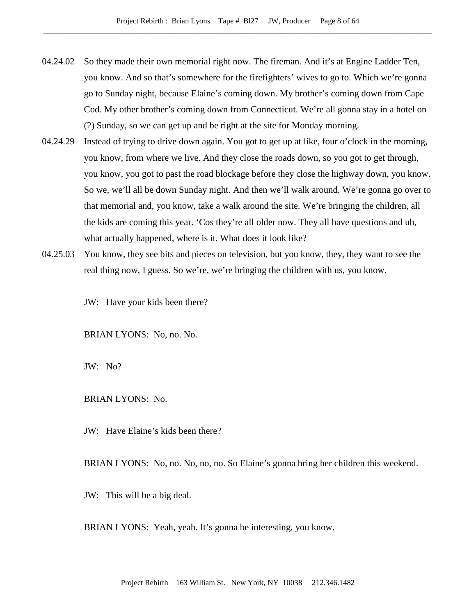- 04.24.02 So they made their own memorial right now. The fireman. And it's at Engine Ladder Ten, you know. And so that's somewhere for the firefighters' wives to go to. Which we're gonna go to Sunday night, because Elaine's coming down. My brother's coming down from Cape Cod. My other brother's coming down from Connecticut. We're all gonna stay in a hotel on (?) Sunday, so we can get up and be right at the site for Monday morning.
- 04.24.29 Instead of trying to drive down again. You got to get up at like, four o'clock in the morning, you know, from where we live. And they close the roads down, so you got to get through, you know, you got to past the road blockage before they close the highway down, you know. So we, we'll all be down Sunday night. And then we'll walk around. We're gonna go over to that memorial and, you know, take a walk around the site. We're bringing the children, all the kids are coming this year. 'Cos they're all older now. They all have questions and uh, what actually happened, where is it. What does it look like?
- 04.25.03 You know, they see bits and pieces on television, but you know, they, they want to see the real thing now, I guess. So we're, we're bringing the children with us, you know.

JW: Have your kids been there?

BRIAN LYONS: No, no. No.

JW: No?

BRIAN LYONS: No.

JW: Have Elaine's kids been there?

BRIAN LYONS: No, no. No, no, no. So Elaine's gonna bring her children this weekend.

JW: This will be a big deal.

BRIAN LYONS: Yeah, yeah. It's gonna be interesting, you know.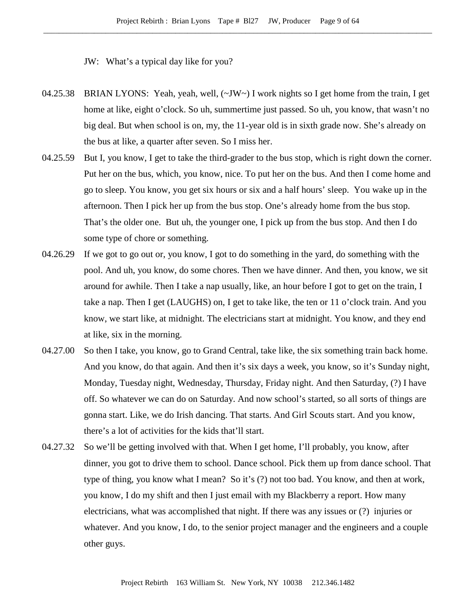JW: What's a typical day like for you?

- 04.25.38 BRIAN LYONS: Yeah, yeah, well, (~JW~) I work nights so I get home from the train, I get home at like, eight o'clock. So uh, summertime just passed. So uh, you know, that wasn't no big deal. But when school is on, my, the 11-year old is in sixth grade now. She's already on the bus at like, a quarter after seven. So I miss her.
- 04.25.59 But I, you know, I get to take the third-grader to the bus stop, which is right down the corner. Put her on the bus, which, you know, nice. To put her on the bus. And then I come home and go to sleep. You know, you get six hours or six and a half hours' sleep. You wake up in the afternoon. Then I pick her up from the bus stop. One's already home from the bus stop. That's the older one. But uh, the younger one, I pick up from the bus stop. And then I do some type of chore or something.
- 04.26.29 If we got to go out or, you know, I got to do something in the yard, do something with the pool. And uh, you know, do some chores. Then we have dinner. And then, you know, we sit around for awhile. Then I take a nap usually, like, an hour before I got to get on the train, I take a nap. Then I get (LAUGHS) on, I get to take like, the ten or 11 o'clock train. And you know, we start like, at midnight. The electricians start at midnight. You know, and they end at like, six in the morning.
- 04.27.00 So then I take, you know, go to Grand Central, take like, the six something train back home. And you know, do that again. And then it's six days a week, you know, so it's Sunday night, Monday, Tuesday night, Wednesday, Thursday, Friday night. And then Saturday, (?) I have off. So whatever we can do on Saturday. And now school's started, so all sorts of things are gonna start. Like, we do Irish dancing. That starts. And Girl Scouts start. And you know, there's a lot of activities for the kids that'll start.
- 04.27.32 So we'll be getting involved with that. When I get home, I'll probably, you know, after dinner, you got to drive them to school. Dance school. Pick them up from dance school. That type of thing, you know what I mean? So it's (?) not too bad. You know, and then at work, you know, I do my shift and then I just email with my Blackberry a report. How many electricians, what was accomplished that night. If there was any issues or (?) injuries or whatever. And you know, I do, to the senior project manager and the engineers and a couple other guys.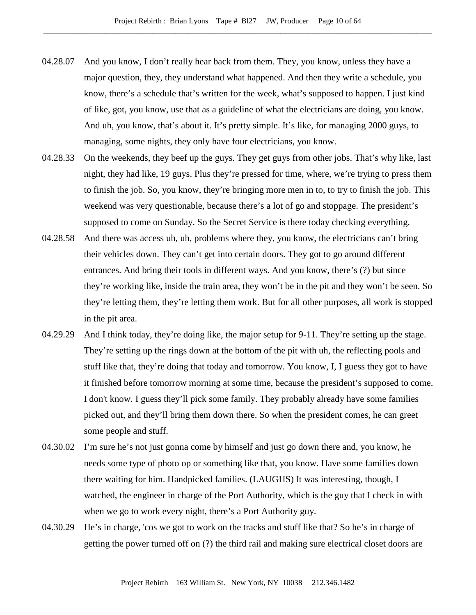- 04.28.07 And you know, I don't really hear back from them. They, you know, unless they have a major question, they, they understand what happened. And then they write a schedule, you know, there's a schedule that's written for the week, what's supposed to happen. I just kind of like, got, you know, use that as a guideline of what the electricians are doing, you know. And uh, you know, that's about it. It's pretty simple. It's like, for managing 2000 guys, to managing, some nights, they only have four electricians, you know.
- 04.28.33 On the weekends, they beef up the guys. They get guys from other jobs. That's why like, last night, they had like, 19 guys. Plus they're pressed for time, where, we're trying to press them to finish the job. So, you know, they're bringing more men in to, to try to finish the job. This weekend was very questionable, because there's a lot of go and stoppage. The president's supposed to come on Sunday. So the Secret Service is there today checking everything.
- 04.28.58 And there was access uh, uh, problems where they, you know, the electricians can't bring their vehicles down. They can't get into certain doors. They got to go around different entrances. And bring their tools in different ways. And you know, there's (?) but since they're working like, inside the train area, they won't be in the pit and they won't be seen. So they're letting them, they're letting them work. But for all other purposes, all work is stopped in the pit area.
- 04.29.29 And I think today, they're doing like, the major setup for 9-11. They're setting up the stage. They're setting up the rings down at the bottom of the pit with uh, the reflecting pools and stuff like that, they're doing that today and tomorrow. You know, I, I guess they got to have it finished before tomorrow morning at some time, because the president's supposed to come. I don't know. I guess they'll pick some family. They probably already have some families picked out, and they'll bring them down there. So when the president comes, he can greet some people and stuff.
- 04.30.02 I'm sure he's not just gonna come by himself and just go down there and, you know, he needs some type of photo op or something like that, you know. Have some families down there waiting for him. Handpicked families. (LAUGHS) It was interesting, though, I watched, the engineer in charge of the Port Authority, which is the guy that I check in with when we go to work every night, there's a Port Authority guy.
- 04.30.29 He's in charge, 'cos we got to work on the tracks and stuff like that? So he's in charge of getting the power turned off on (?) the third rail and making sure electrical closet doors are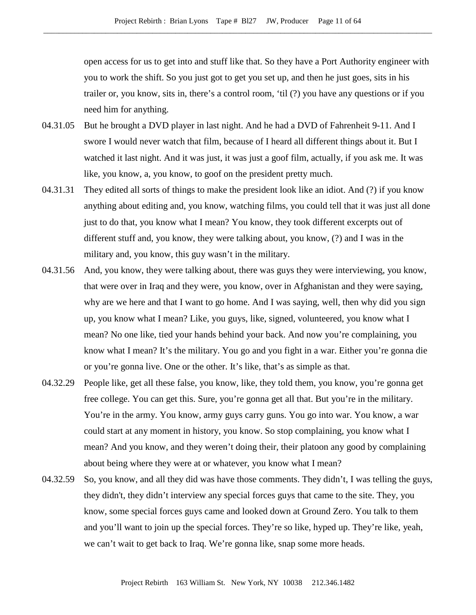open access for us to get into and stuff like that. So they have a Port Authority engineer with you to work the shift. So you just got to get you set up, and then he just goes, sits in his trailer or, you know, sits in, there's a control room, 'til (?) you have any questions or if you need him for anything.

- 04.31.05 But he brought a DVD player in last night. And he had a DVD of Fahrenheit 9-11. And I swore I would never watch that film, because of I heard all different things about it. But I watched it last night. And it was just, it was just a goof film, actually, if you ask me. It was like, you know, a, you know, to goof on the president pretty much.
- 04.31.31 They edited all sorts of things to make the president look like an idiot. And (?) if you know anything about editing and, you know, watching films, you could tell that it was just all done just to do that, you know what I mean? You know, they took different excerpts out of different stuff and, you know, they were talking about, you know, (?) and I was in the military and, you know, this guy wasn't in the military.
- 04.31.56 And, you know, they were talking about, there was guys they were interviewing, you know, that were over in Iraq and they were, you know, over in Afghanistan and they were saying, why are we here and that I want to go home. And I was saying, well, then why did you sign up, you know what I mean? Like, you guys, like, signed, volunteered, you know what I mean? No one like, tied your hands behind your back. And now you're complaining, you know what I mean? It's the military. You go and you fight in a war. Either you're gonna die or you're gonna live. One or the other. It's like, that's as simple as that.
- 04.32.29 People like, get all these false, you know, like, they told them, you know, you're gonna get free college. You can get this. Sure, you're gonna get all that. But you're in the military. You're in the army. You know, army guys carry guns. You go into war. You know, a war could start at any moment in history, you know. So stop complaining, you know what I mean? And you know, and they weren't doing their, their platoon any good by complaining about being where they were at or whatever, you know what I mean?
- 04.32.59 So, you know, and all they did was have those comments. They didn't, I was telling the guys, they didn't, they didn't interview any special forces guys that came to the site. They, you know, some special forces guys came and looked down at Ground Zero. You talk to them and you'll want to join up the special forces. They're so like, hyped up. They're like, yeah, we can't wait to get back to Iraq. We're gonna like, snap some more heads.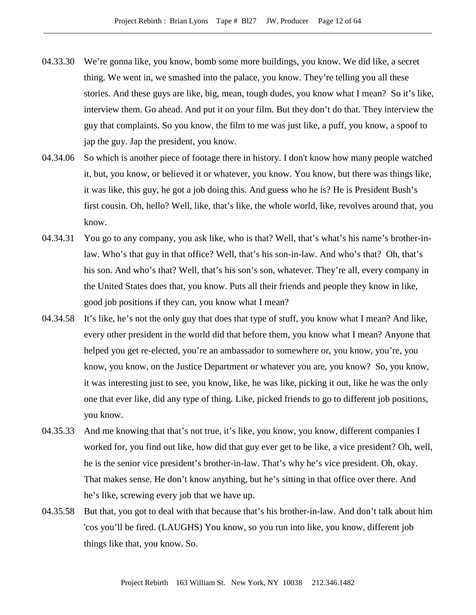- 04.33.30 We're gonna like, you know, bomb some more buildings, you know. We did like, a secret thing. We went in, we smashed into the palace, you know. They're telling you all these stories. And these guys are like, big, mean, tough dudes, you know what I mean? So it's like, interview them. Go ahead. And put it on your film. But they don't do that. They interview the guy that complaints. So you know, the film to me was just like, a puff, you know, a spoof to jap the guy. Jap the president, you know.
- 04.34.06 So which is another piece of footage there in history. I don't know how many people watched it, but, you know, or believed it or whatever, you know. You know, but there was things like, it was like, this guy, he got a job doing this. And guess who he is? He is President Bush's first cousin. Oh, hello? Well, like, that's like, the whole world, like, revolves around that, you know.
- 04.34.31 You go to any company, you ask like, who is that? Well, that's what's his name's brother-inlaw. Who's that guy in that office? Well, that's his son-in-law. And who's that? Oh, that's his son. And who's that? Well, that's his son's son, whatever. They're all, every company in the United States does that, you know. Puts all their friends and people they know in like, good job positions if they can, you know what I mean?
- 04.34.58 It's like, he's not the only guy that does that type of stuff, you know what I mean? And like, every other president in the world did that before them, you know what I mean? Anyone that helped you get re-elected, you're an ambassador to somewhere or, you know, you're, you know, you know, on the Justice Department or whatever you are, you know? So, you know, it was interesting just to see, you know, like, he was like, picking it out, like he was the only one that ever like, did any type of thing. Like, picked friends to go to different job positions, you know.
- 04.35.33 And me knowing that that's not true, it's like, you know, you know, different companies I worked for, you find out like, how did that guy ever get to be like, a vice president? Oh, well, he is the senior vice president's brother-in-law. That's why he's vice president. Oh, okay. That makes sense. He don't know anything, but he's sitting in that office over there. And he's like, screwing every job that we have up.
- 04.35.58 But that, you got to deal with that because that's his brother-in-law. And don't talk about him 'cos you'll be fired. (LAUGHS) You know, so you run into like, you know, different job things like that, you know. So.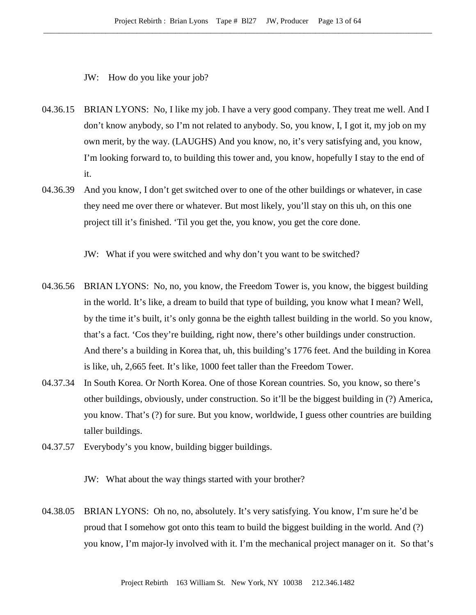JW: How do you like your job?

- 04.36.15 BRIAN LYONS: No, I like my job. I have a very good company. They treat me well. And I don't know anybody, so I'm not related to anybody. So, you know, I, I got it, my job on my own merit, by the way. (LAUGHS) And you know, no, it's very satisfying and, you know, I'm looking forward to, to building this tower and, you know, hopefully I stay to the end of it.
- 04.36.39 And you know, I don't get switched over to one of the other buildings or whatever, in case they need me over there or whatever. But most likely, you'll stay on this uh, on this one project till it's finished. 'Til you get the, you know, you get the core done.

JW: What if you were switched and why don't you want to be switched?

- 04.36.56 BRIAN LYONS: No, no, you know, the Freedom Tower is, you know, the biggest building in the world. It's like, a dream to build that type of building, you know what I mean? Well, by the time it's built, it's only gonna be the eighth tallest building in the world. So you know, that's a fact. 'Cos they're building, right now, there's other buildings under construction. And there's a building in Korea that, uh, this building's 1776 feet. And the building in Korea is like, uh, 2,665 feet. It's like, 1000 feet taller than the Freedom Tower.
- 04.37.34 In South Korea. Or North Korea. One of those Korean countries. So, you know, so there's other buildings, obviously, under construction. So it'll be the biggest building in (?) America, you know. That's (?) for sure. But you know, worldwide, I guess other countries are building taller buildings.
- 04.37.57 Everybody's you know, building bigger buildings.

JW: What about the way things started with your brother?

04.38.05 BRIAN LYONS: Oh no, no, absolutely. It's very satisfying. You know, I'm sure he'd be proud that I somehow got onto this team to build the biggest building in the world. And (?) you know, I'm major-ly involved with it. I'm the mechanical project manager on it. So that's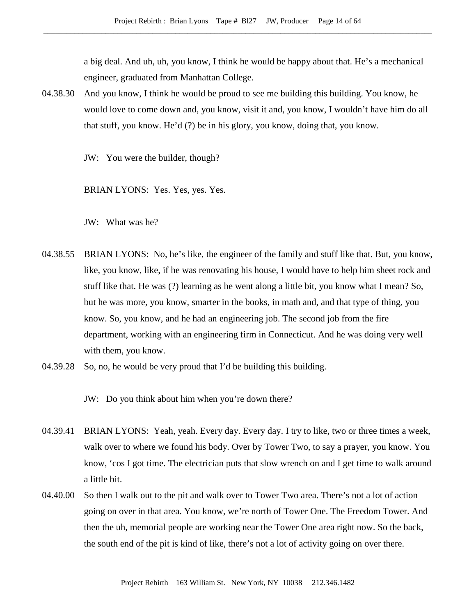a big deal. And uh, uh, you know, I think he would be happy about that. He's a mechanical engineer, graduated from Manhattan College.

04.38.30 And you know, I think he would be proud to see me building this building. You know, he would love to come down and, you know, visit it and, you know, I wouldn't have him do all that stuff, you know. He'd (?) be in his glory, you know, doing that, you know.

JW: You were the builder, though?

BRIAN LYONS: Yes. Yes, yes. Yes.

JW: What was he?

- 04.38.55 BRIAN LYONS: No, he's like, the engineer of the family and stuff like that. But, you know, like, you know, like, if he was renovating his house, I would have to help him sheet rock and stuff like that. He was (?) learning as he went along a little bit, you know what I mean? So, but he was more, you know, smarter in the books, in math and, and that type of thing, you know. So, you know, and he had an engineering job. The second job from the fire department, working with an engineering firm in Connecticut. And he was doing very well with them, you know.
- 04.39.28 So, no, he would be very proud that I'd be building this building.

JW: Do you think about him when you're down there?

- 04.39.41 BRIAN LYONS: Yeah, yeah. Every day. Every day. I try to like, two or three times a week, walk over to where we found his body. Over by Tower Two, to say a prayer, you know. You know, 'cos I got time. The electrician puts that slow wrench on and I get time to walk around a little bit.
- 04.40.00 So then I walk out to the pit and walk over to Tower Two area. There's not a lot of action going on over in that area. You know, we're north of Tower One. The Freedom Tower. And then the uh, memorial people are working near the Tower One area right now. So the back, the south end of the pit is kind of like, there's not a lot of activity going on over there.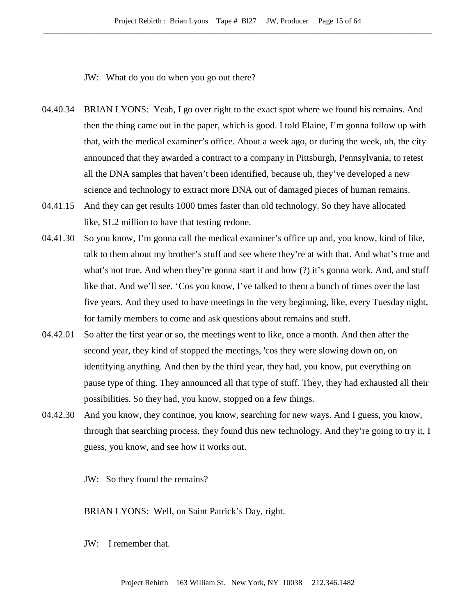JW: What do you do when you go out there?

- 04.40.34 BRIAN LYONS: Yeah, I go over right to the exact spot where we found his remains. And then the thing came out in the paper, which is good. I told Elaine, I'm gonna follow up with that, with the medical examiner's office. About a week ago, or during the week, uh, the city announced that they awarded a contract to a company in Pittsburgh, Pennsylvania, to retest all the DNA samples that haven't been identified, because uh, they've developed a new science and technology to extract more DNA out of damaged pieces of human remains.
- 04.41.15 And they can get results 1000 times faster than old technology. So they have allocated like, \$1.2 million to have that testing redone.
- 04.41.30 So you know, I'm gonna call the medical examiner's office up and, you know, kind of like, talk to them about my brother's stuff and see where they're at with that. And what's true and what's not true. And when they're gonna start it and how (?) it's gonna work. And, and stuff like that. And we'll see. 'Cos you know, I've talked to them a bunch of times over the last five years. And they used to have meetings in the very beginning, like, every Tuesday night, for family members to come and ask questions about remains and stuff.
- 04.42.01 So after the first year or so, the meetings went to like, once a month. And then after the second year, they kind of stopped the meetings, 'cos they were slowing down on, on identifying anything. And then by the third year, they had, you know, put everything on pause type of thing. They announced all that type of stuff. They, they had exhausted all their possibilities. So they had, you know, stopped on a few things.
- 04.42.30 And you know, they continue, you know, searching for new ways. And I guess, you know, through that searching process, they found this new technology. And they're going to try it, I guess, you know, and see how it works out.

JW: So they found the remains?

BRIAN LYONS: Well, on Saint Patrick's Day, right.

JW: I remember that.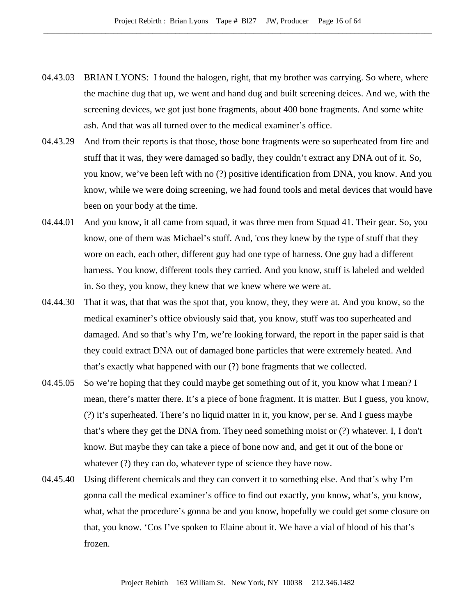- 04.43.03 BRIAN LYONS: I found the halogen, right, that my brother was carrying. So where, where the machine dug that up, we went and hand dug and built screening deices. And we, with the screening devices, we got just bone fragments, about 400 bone fragments. And some white ash. And that was all turned over to the medical examiner's office.
- 04.43.29 And from their reports is that those, those bone fragments were so superheated from fire and stuff that it was, they were damaged so badly, they couldn't extract any DNA out of it. So, you know, we've been left with no (?) positive identification from DNA, you know. And you know, while we were doing screening, we had found tools and metal devices that would have been on your body at the time.
- 04.44.01 And you know, it all came from squad, it was three men from Squad 41. Their gear. So, you know, one of them was Michael's stuff. And, 'cos they knew by the type of stuff that they wore on each, each other, different guy had one type of harness. One guy had a different harness. You know, different tools they carried. And you know, stuff is labeled and welded in. So they, you know, they knew that we knew where we were at.
- 04.44.30 That it was, that that was the spot that, you know, they, they were at. And you know, so the medical examiner's office obviously said that, you know, stuff was too superheated and damaged. And so that's why I'm, we're looking forward, the report in the paper said is that they could extract DNA out of damaged bone particles that were extremely heated. And that's exactly what happened with our (?) bone fragments that we collected.
- 04.45.05 So we're hoping that they could maybe get something out of it, you know what I mean? I mean, there's matter there. It's a piece of bone fragment. It is matter. But I guess, you know, (?) it's superheated. There's no liquid matter in it, you know, per se. And I guess maybe that's where they get the DNA from. They need something moist or (?) whatever. I, I don't know. But maybe they can take a piece of bone now and, and get it out of the bone or whatever  $(?)$  they can do, whatever type of science they have now.
- 04.45.40 Using different chemicals and they can convert it to something else. And that's why I'm gonna call the medical examiner's office to find out exactly, you know, what's, you know, what, what the procedure's gonna be and you know, hopefully we could get some closure on that, you know. 'Cos I've spoken to Elaine about it. We have a vial of blood of his that's frozen.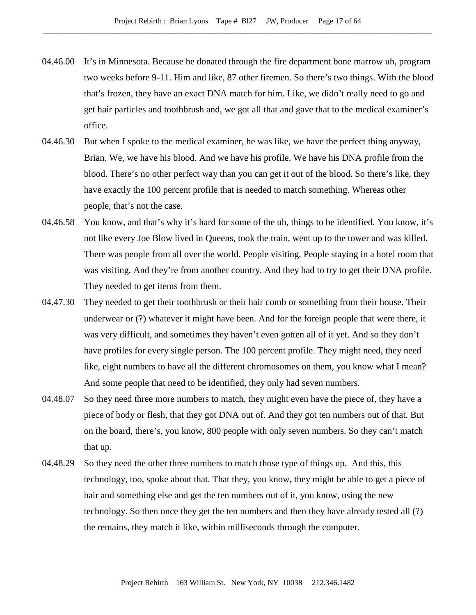- 04.46.00 It's in Minnesota. Because he donated through the fire department bone marrow uh, program two weeks before 9-11. Him and like, 87 other firemen. So there's two things. With the blood that's frozen, they have an exact DNA match for him. Like, we didn't really need to go and get hair particles and toothbrush and, we got all that and gave that to the medical examiner's office.
- 04.46.30 But when I spoke to the medical examiner, he was like, we have the perfect thing anyway, Brian. We, we have his blood. And we have his profile. We have his DNA profile from the blood. There's no other perfect way than you can get it out of the blood. So there's like, they have exactly the 100 percent profile that is needed to match something. Whereas other people, that's not the case.
- 04.46.58 You know, and that's why it's hard for some of the uh, things to be identified. You know, it's not like every Joe Blow lived in Queens, took the train, went up to the tower and was killed. There was people from all over the world. People visiting. People staying in a hotel room that was visiting. And they're from another country. And they had to try to get their DNA profile. They needed to get items from them.
- 04.47.30 They needed to get their toothbrush or their hair comb or something from their house. Their underwear or (?) whatever it might have been. And for the foreign people that were there, it was very difficult, and sometimes they haven't even gotten all of it yet. And so they don't have profiles for every single person. The 100 percent profile. They might need, they need like, eight numbers to have all the different chromosomes on them, you know what I mean? And some people that need to be identified, they only had seven numbers.
- 04.48.07 So they need three more numbers to match, they might even have the piece of, they have a piece of body or flesh, that they got DNA out of. And they got ten numbers out of that. But on the board, there's, you know, 800 people with only seven numbers. So they can't match that up.
- 04.48.29 So they need the other three numbers to match those type of things up. And this, this technology, too, spoke about that. That they, you know, they might be able to get a piece of hair and something else and get the ten numbers out of it, you know, using the new technology. So then once they get the ten numbers and then they have already tested all (?) the remains, they match it like, within milliseconds through the computer.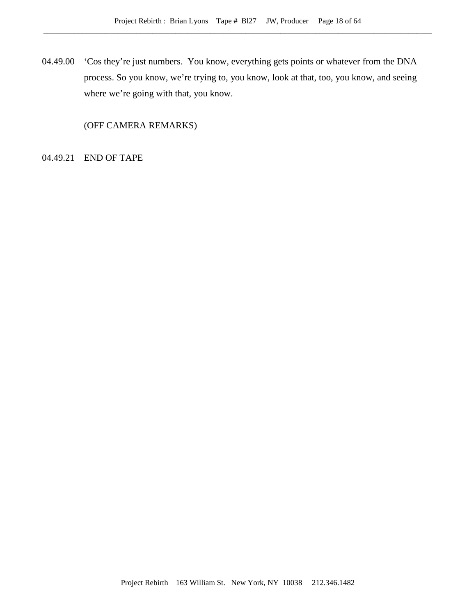04.49.00 'Cos they're just numbers. You know, everything gets points or whatever from the DNA process. So you know, we're trying to, you know, look at that, too, you know, and seeing where we're going with that, you know.

(OFF CAMERA REMARKS)

04.49.21 END OF TAPE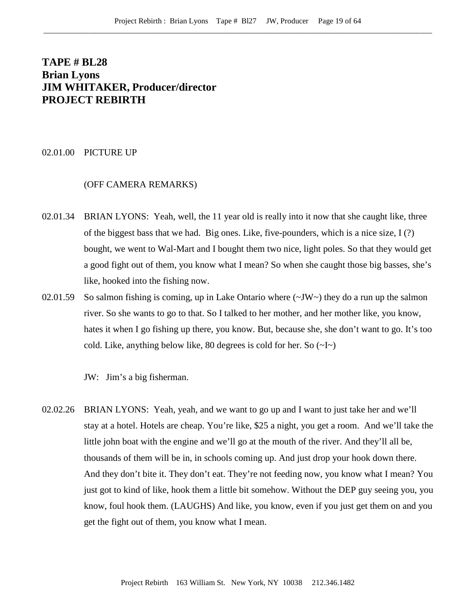# **TAPE # BL28 Brian Lyons JIM WHITAKER, Producer/director PROJECT REBIRTH**

### 02.01.00 PICTURE UP

#### (OFF CAMERA REMARKS)

- 02.01.34 BRIAN LYONS: Yeah, well, the 11 year old is really into it now that she caught like, three of the biggest bass that we had. Big ones. Like, five-pounders, which is a nice size,  $I(?)$ bought, we went to Wal-Mart and I bought them two nice, light poles. So that they would get a good fight out of them, you know what I mean? So when she caught those big basses, she's like, hooked into the fishing now.
- 02.01.59 So salmon fishing is coming, up in Lake Ontario where  $(\sim JW)$  they do a run up the salmon river. So she wants to go to that. So I talked to her mother, and her mother like, you know, hates it when I go fishing up there, you know. But, because she, she don't want to go. It's too cold. Like, anything below like, 80 degrees is cold for her. So  $(\sim I \sim)$

JW: Jim's a big fisherman.

02.02.26 BRIAN LYONS: Yeah, yeah, and we want to go up and I want to just take her and we'll stay at a hotel. Hotels are cheap. You're like, \$25 a night, you get a room. And we'll take the little john boat with the engine and we'll go at the mouth of the river. And they'll all be, thousands of them will be in, in schools coming up. And just drop your hook down there. And they don't bite it. They don't eat. They're not feeding now, you know what I mean? You just got to kind of like, hook them a little bit somehow. Without the DEP guy seeing you, you know, foul hook them. (LAUGHS) And like, you know, even if you just get them on and you get the fight out of them, you know what I mean.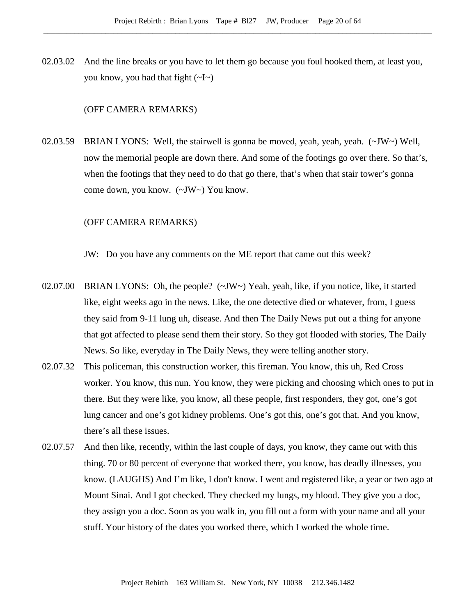02.03.02 And the line breaks or you have to let them go because you foul hooked them, at least you, you know, you had that fight  $(\sim] \sim$ )

#### (OFF CAMERA REMARKS)

02.03.59 BRIAN LYONS: Well, the stairwell is gonna be moved, yeah, yeah, yeah. (~JW~) Well, now the memorial people are down there. And some of the footings go over there. So that's, when the footings that they need to do that go there, that's when that stair tower's gonna come down, you know. (~JW~) You know.

## (OFF CAMERA REMARKS)

JW: Do you have any comments on the ME report that came out this week?

- 02.07.00 BRIAN LYONS: Oh, the people?  $(\sim JW \sim)$  Yeah, yeah, like, if you notice, like, it started like, eight weeks ago in the news. Like, the one detective died or whatever, from, I guess they said from 9-11 lung uh, disease. And then The Daily News put out a thing for anyone that got affected to please send them their story. So they got flooded with stories, The Daily News. So like, everyday in The Daily News, they were telling another story.
- 02.07.32 This policeman, this construction worker, this fireman. You know, this uh, Red Cross worker. You know, this nun. You know, they were picking and choosing which ones to put in there. But they were like, you know, all these people, first responders, they got, one's got lung cancer and one's got kidney problems. One's got this, one's got that. And you know, there's all these issues.
- 02.07.57 And then like, recently, within the last couple of days, you know, they came out with this thing. 70 or 80 percent of everyone that worked there, you know, has deadly illnesses, you know. (LAUGHS) And I'm like, I don't know. I went and registered like, a year or two ago at Mount Sinai. And I got checked. They checked my lungs, my blood. They give you a doc, they assign you a doc. Soon as you walk in, you fill out a form with your name and all your stuff. Your history of the dates you worked there, which I worked the whole time.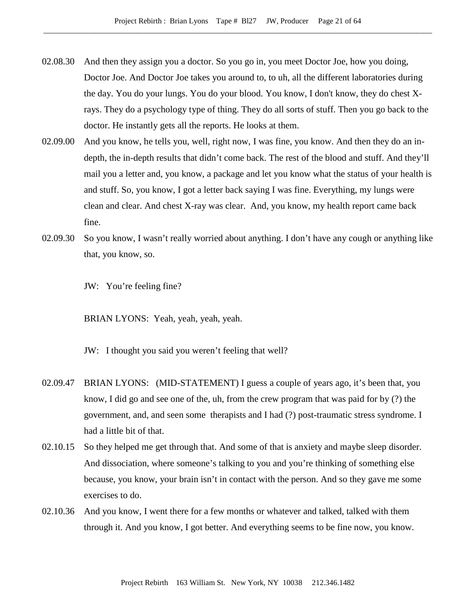- 02.08.30 And then they assign you a doctor. So you go in, you meet Doctor Joe, how you doing, Doctor Joe. And Doctor Joe takes you around to, to uh, all the different laboratories during the day. You do your lungs. You do your blood. You know, I don't know, they do chest Xrays. They do a psychology type of thing. They do all sorts of stuff. Then you go back to the doctor. He instantly gets all the reports. He looks at them.
- 02.09.00 And you know, he tells you, well, right now, I was fine, you know. And then they do an indepth, the in-depth results that didn't come back. The rest of the blood and stuff. And they'll mail you a letter and, you know, a package and let you know what the status of your health is and stuff. So, you know, I got a letter back saying I was fine. Everything, my lungs were clean and clear. And chest X-ray was clear. And, you know, my health report came back fine.
- 02.09.30 So you know, I wasn't really worried about anything. I don't have any cough or anything like that, you know, so.

JW: You're feeling fine?

BRIAN LYONS: Yeah, yeah, yeah, yeah.

JW: I thought you said you weren't feeling that well?

- 02.09.47 BRIAN LYONS: (MID-STATEMENT) I guess a couple of years ago, it's been that, you know, I did go and see one of the, uh, from the crew program that was paid for by (?) the government, and, and seen some therapists and I had (?) post-traumatic stress syndrome. I had a little bit of that.
- 02.10.15 So they helped me get through that. And some of that is anxiety and maybe sleep disorder. And dissociation, where someone's talking to you and you're thinking of something else because, you know, your brain isn't in contact with the person. And so they gave me some exercises to do.
- 02.10.36 And you know, I went there for a few months or whatever and talked, talked with them through it. And you know, I got better. And everything seems to be fine now, you know.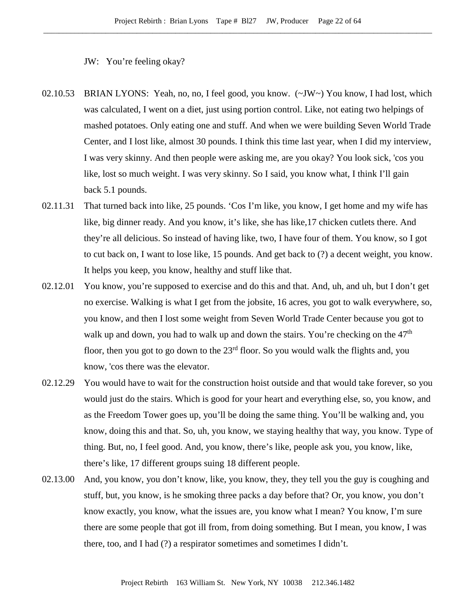JW: You're feeling okay?

- 02.10.53 BRIAN LYONS: Yeah, no, no, I feel good, you know. (~JW~) You know, I had lost, which was calculated, I went on a diet, just using portion control. Like, not eating two helpings of mashed potatoes. Only eating one and stuff. And when we were building Seven World Trade Center, and I lost like, almost 30 pounds. I think this time last year, when I did my interview, I was very skinny. And then people were asking me, are you okay? You look sick, 'cos you like, lost so much weight. I was very skinny. So I said, you know what, I think I'll gain back 5.1 pounds.
- 02.11.31 That turned back into like, 25 pounds. 'Cos I'm like, you know, I get home and my wife has like, big dinner ready. And you know, it's like, she has like,17 chicken cutlets there. And they're all delicious. So instead of having like, two, I have four of them. You know, so I got to cut back on, I want to lose like, 15 pounds. And get back to (?) a decent weight, you know. It helps you keep, you know, healthy and stuff like that.
- 02.12.01 You know, you're supposed to exercise and do this and that. And, uh, and uh, but I don't get no exercise. Walking is what I get from the jobsite, 16 acres, you got to walk everywhere, so, you know, and then I lost some weight from Seven World Trade Center because you got to walk up and down, you had to walk up and down the stairs. You're checking on the  $47<sup>th</sup>$ floor, then you got to go down to the  $23<sup>rd</sup>$  floor. So you would walk the flights and, you know, 'cos there was the elevator.
- 02.12.29 You would have to wait for the construction hoist outside and that would take forever, so you would just do the stairs. Which is good for your heart and everything else, so, you know, and as the Freedom Tower goes up, you'll be doing the same thing. You'll be walking and, you know, doing this and that. So, uh, you know, we staying healthy that way, you know. Type of thing. But, no, I feel good. And, you know, there's like, people ask you, you know, like, there's like, 17 different groups suing 18 different people.
- 02.13.00 And, you know, you don't know, like, you know, they, they tell you the guy is coughing and stuff, but, you know, is he smoking three packs a day before that? Or, you know, you don't know exactly, you know, what the issues are, you know what I mean? You know, I'm sure there are some people that got ill from, from doing something. But I mean, you know, I was there, too, and I had (?) a respirator sometimes and sometimes I didn't.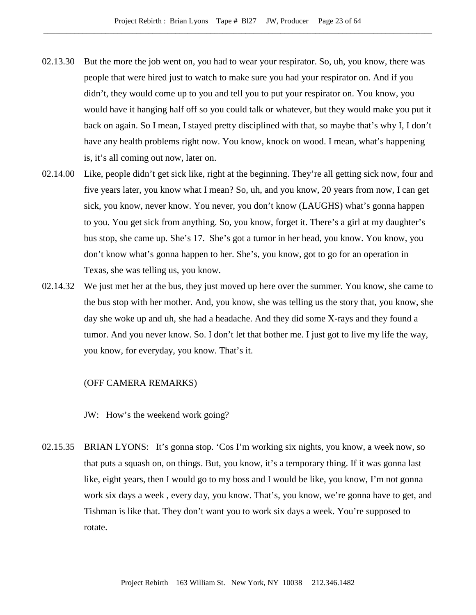- 02.13.30 But the more the job went on, you had to wear your respirator. So, uh, you know, there was people that were hired just to watch to make sure you had your respirator on. And if you didn't, they would come up to you and tell you to put your respirator on. You know, you would have it hanging half off so you could talk or whatever, but they would make you put it back on again. So I mean, I stayed pretty disciplined with that, so maybe that's why I, I don't have any health problems right now. You know, knock on wood. I mean, what's happening is, it's all coming out now, later on.
- 02.14.00 Like, people didn't get sick like, right at the beginning. They're all getting sick now, four and five years later, you know what I mean? So, uh, and you know, 20 years from now, I can get sick, you know, never know. You never, you don't know (LAUGHS) what's gonna happen to you. You get sick from anything. So, you know, forget it. There's a girl at my daughter's bus stop, she came up. She's 17. She's got a tumor in her head, you know. You know, you don't know what's gonna happen to her. She's, you know, got to go for an operation in Texas, she was telling us, you know.
- 02.14.32 We just met her at the bus, they just moved up here over the summer. You know, she came to the bus stop with her mother. And, you know, she was telling us the story that, you know, she day she woke up and uh, she had a headache. And they did some X-rays and they found a tumor. And you never know. So. I don't let that bother me. I just got to live my life the way, you know, for everyday, you know. That's it.

#### (OFF CAMERA REMARKS)

JW: How's the weekend work going?

02.15.35 BRIAN LYONS: It's gonna stop. 'Cos I'm working six nights, you know, a week now, so that puts a squash on, on things. But, you know, it's a temporary thing. If it was gonna last like, eight years, then I would go to my boss and I would be like, you know, I'm not gonna work six days a week , every day, you know. That's, you know, we're gonna have to get, and Tishman is like that. They don't want you to work six days a week. You're supposed to rotate.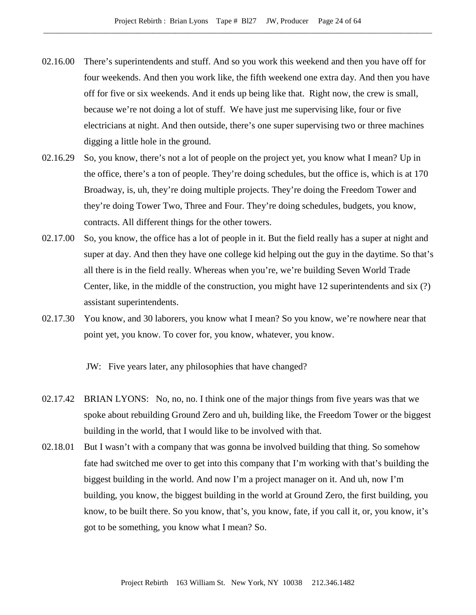- 02.16.00 There's superintendents and stuff. And so you work this weekend and then you have off for four weekends. And then you work like, the fifth weekend one extra day. And then you have off for five or six weekends. And it ends up being like that. Right now, the crew is small, because we're not doing a lot of stuff. We have just me supervising like, four or five electricians at night. And then outside, there's one super supervising two or three machines digging a little hole in the ground.
- 02.16.29 So, you know, there's not a lot of people on the project yet, you know what I mean? Up in the office, there's a ton of people. They're doing schedules, but the office is, which is at 170 Broadway, is, uh, they're doing multiple projects. They're doing the Freedom Tower and they're doing Tower Two, Three and Four. They're doing schedules, budgets, you know, contracts. All different things for the other towers.
- 02.17.00 So, you know, the office has a lot of people in it. But the field really has a super at night and super at day. And then they have one college kid helping out the guy in the daytime. So that's all there is in the field really. Whereas when you're, we're building Seven World Trade Center, like, in the middle of the construction, you might have 12 superintendents and six (?) assistant superintendents.
- 02.17.30 You know, and 30 laborers, you know what I mean? So you know, we're nowhere near that point yet, you know. To cover for, you know, whatever, you know.

JW: Five years later, any philosophies that have changed?

- 02.17.42 BRIAN LYONS: No, no, no. I think one of the major things from five years was that we spoke about rebuilding Ground Zero and uh, building like, the Freedom Tower or the biggest building in the world, that I would like to be involved with that.
- 02.18.01 But I wasn't with a company that was gonna be involved building that thing. So somehow fate had switched me over to get into this company that I'm working with that's building the biggest building in the world. And now I'm a project manager on it. And uh, now I'm building, you know, the biggest building in the world at Ground Zero, the first building, you know, to be built there. So you know, that's, you know, fate, if you call it, or, you know, it's got to be something, you know what I mean? So.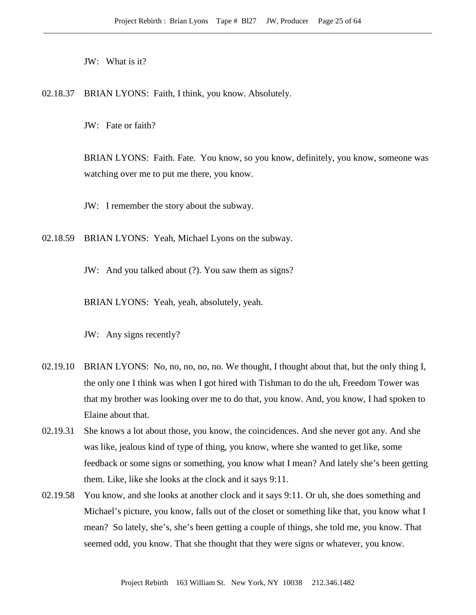JW: What is it?

02.18.37 BRIAN LYONS: Faith, I think, you know. Absolutely.

JW: Fate or faith?

BRIAN LYONS: Faith. Fate. You know, so you know, definitely, you know, someone was watching over me to put me there, you know.

JW: I remember the story about the subway.

02.18.59 BRIAN LYONS: Yeah, Michael Lyons on the subway.

JW: And you talked about (?). You saw them as signs?

BRIAN LYONS: Yeah, yeah, absolutely, yeah.

JW: Any signs recently?

- 02.19.10 BRIAN LYONS: No, no, no, no, no. We thought, I thought about that, but the only thing I, the only one I think was when I got hired with Tishman to do the uh, Freedom Tower was that my brother was looking over me to do that, you know. And, you know, I had spoken to Elaine about that.
- 02.19.31 She knows a lot about those, you know, the coincidences. And she never got any. And she was like, jealous kind of type of thing, you know, where she wanted to get like, some feedback or some signs or something, you know what I mean? And lately she's been getting them. Like, like she looks at the clock and it says 9:11.
- 02.19.58 You know, and she looks at another clock and it says 9:11. Or uh, she does something and Michael's picture, you know, falls out of the closet or something like that, you know what I mean? So lately, she's, she's been getting a couple of things, she told me, you know. That seemed odd, you know. That she thought that they were signs or whatever, you know.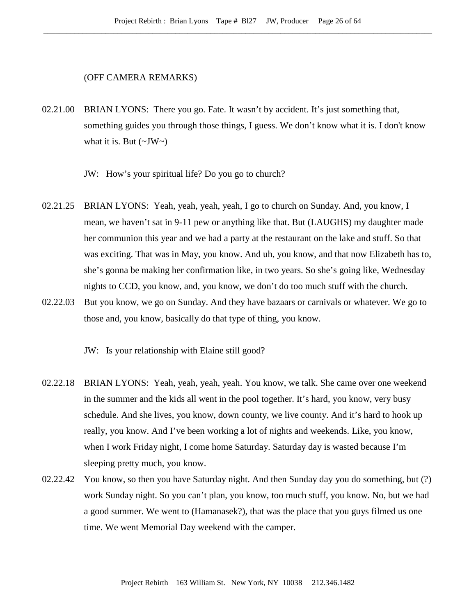## (OFF CAMERA REMARKS)

02.21.00 BRIAN LYONS: There you go. Fate. It wasn't by accident. It's just something that, something guides you through those things, I guess. We don't know what it is. I don't know what it is. But  $(\sim JW \sim)$ 

JW: How's your spiritual life? Do you go to church?

- 02.21.25 BRIAN LYONS: Yeah, yeah, yeah, yeah, I go to church on Sunday. And, you know, I mean, we haven't sat in 9-11 pew or anything like that. But (LAUGHS) my daughter made her communion this year and we had a party at the restaurant on the lake and stuff. So that was exciting. That was in May, you know. And uh, you know, and that now Elizabeth has to, she's gonna be making her confirmation like, in two years. So she's going like, Wednesday nights to CCD, you know, and, you know, we don't do too much stuff with the church.
- 02.22.03 But you know, we go on Sunday. And they have bazaars or carnivals or whatever. We go to those and, you know, basically do that type of thing, you know.

JW: Is your relationship with Elaine still good?

- 02.22.18 BRIAN LYONS: Yeah, yeah, yeah, yeah. You know, we talk. She came over one weekend in the summer and the kids all went in the pool together. It's hard, you know, very busy schedule. And she lives, you know, down county, we live county. And it's hard to hook up really, you know. And I've been working a lot of nights and weekends. Like, you know, when I work Friday night, I come home Saturday. Saturday day is wasted because I'm sleeping pretty much, you know.
- 02.22.42 You know, so then you have Saturday night. And then Sunday day you do something, but (?) work Sunday night. So you can't plan, you know, too much stuff, you know. No, but we had a good summer. We went to (Hamanasek?), that was the place that you guys filmed us one time. We went Memorial Day weekend with the camper.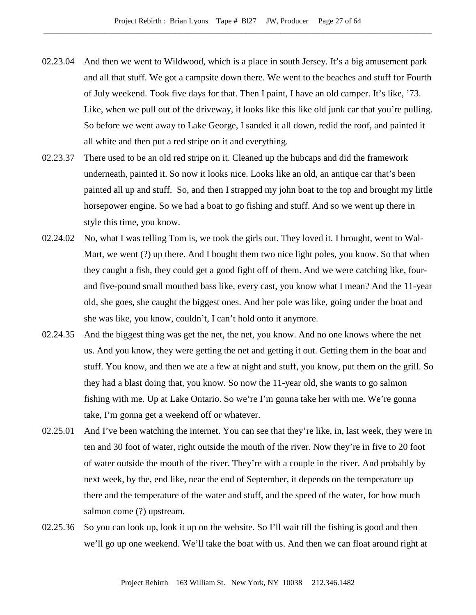- 02.23.04 And then we went to Wildwood, which is a place in south Jersey. It's a big amusement park and all that stuff. We got a campsite down there. We went to the beaches and stuff for Fourth of July weekend. Took five days for that. Then I paint, I have an old camper. It's like, '73. Like, when we pull out of the driveway, it looks like this like old junk car that you're pulling. So before we went away to Lake George, I sanded it all down, redid the roof, and painted it all white and then put a red stripe on it and everything.
- 02.23.37 There used to be an old red stripe on it. Cleaned up the hubcaps and did the framework underneath, painted it. So now it looks nice. Looks like an old, an antique car that's been painted all up and stuff. So, and then I strapped my john boat to the top and brought my little horsepower engine. So we had a boat to go fishing and stuff. And so we went up there in style this time, you know.
- 02.24.02 No, what I was telling Tom is, we took the girls out. They loved it. I brought, went to Wal-Mart, we went (?) up there. And I bought them two nice light poles, you know. So that when they caught a fish, they could get a good fight off of them. And we were catching like, fourand five-pound small mouthed bass like, every cast, you know what I mean? And the 11-year old, she goes, she caught the biggest ones. And her pole was like, going under the boat and she was like, you know, couldn't, I can't hold onto it anymore.
- 02.24.35 And the biggest thing was get the net, the net, you know. And no one knows where the net us. And you know, they were getting the net and getting it out. Getting them in the boat and stuff. You know, and then we ate a few at night and stuff, you know, put them on the grill. So they had a blast doing that, you know. So now the 11-year old, she wants to go salmon fishing with me. Up at Lake Ontario. So we're I'm gonna take her with me. We're gonna take, I'm gonna get a weekend off or whatever.
- 02.25.01 And I've been watching the internet. You can see that they're like, in, last week, they were in ten and 30 foot of water, right outside the mouth of the river. Now they're in five to 20 foot of water outside the mouth of the river. They're with a couple in the river. And probably by next week, by the, end like, near the end of September, it depends on the temperature up there and the temperature of the water and stuff, and the speed of the water, for how much salmon come (?) upstream.
- 02.25.36 So you can look up, look it up on the website. So I'll wait till the fishing is good and then we'll go up one weekend. We'll take the boat with us. And then we can float around right at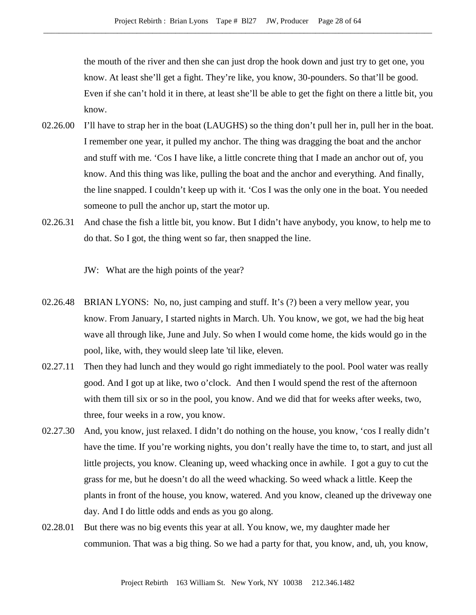the mouth of the river and then she can just drop the hook down and just try to get one, you know. At least she'll get a fight. They're like, you know, 30-pounders. So that'll be good. Even if she can't hold it in there, at least she'll be able to get the fight on there a little bit, you know.

- 02.26.00 I'll have to strap her in the boat (LAUGHS) so the thing don't pull her in, pull her in the boat. I remember one year, it pulled my anchor. The thing was dragging the boat and the anchor and stuff with me. 'Cos I have like, a little concrete thing that I made an anchor out of, you know. And this thing was like, pulling the boat and the anchor and everything. And finally, the line snapped. I couldn't keep up with it. 'Cos I was the only one in the boat. You needed someone to pull the anchor up, start the motor up.
- 02.26.31 And chase the fish a little bit, you know. But I didn't have anybody, you know, to help me to do that. So I got, the thing went so far, then snapped the line.

JW: What are the high points of the year?

- 02.26.48 BRIAN LYONS: No, no, just camping and stuff. It's (?) been a very mellow year, you know. From January, I started nights in March. Uh. You know, we got, we had the big heat wave all through like, June and July. So when I would come home, the kids would go in the pool, like, with, they would sleep late 'til like, eleven.
- 02.27.11 Then they had lunch and they would go right immediately to the pool. Pool water was really good. And I got up at like, two o'clock. And then I would spend the rest of the afternoon with them till six or so in the pool, you know. And we did that for weeks after weeks, two, three, four weeks in a row, you know.
- 02.27.30 And, you know, just relaxed. I didn't do nothing on the house, you know, 'cos I really didn't have the time. If you're working nights, you don't really have the time to, to start, and just all little projects, you know. Cleaning up, weed whacking once in awhile. I got a guy to cut the grass for me, but he doesn't do all the weed whacking. So weed whack a little. Keep the plants in front of the house, you know, watered. And you know, cleaned up the driveway one day. And I do little odds and ends as you go along.
- 02.28.01 But there was no big events this year at all. You know, we, my daughter made her communion. That was a big thing. So we had a party for that, you know, and, uh, you know,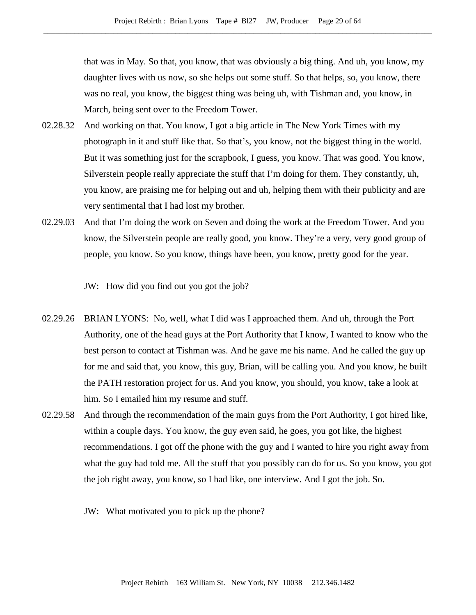that was in May. So that, you know, that was obviously a big thing. And uh, you know, my daughter lives with us now, so she helps out some stuff. So that helps, so, you know, there was no real, you know, the biggest thing was being uh, with Tishman and, you know, in March, being sent over to the Freedom Tower.

- 02.28.32 And working on that. You know, I got a big article in The New York Times with my photograph in it and stuff like that. So that's, you know, not the biggest thing in the world. But it was something just for the scrapbook, I guess, you know. That was good. You know, Silverstein people really appreciate the stuff that I'm doing for them. They constantly, uh, you know, are praising me for helping out and uh, helping them with their publicity and are very sentimental that I had lost my brother.
- 02.29.03 And that I'm doing the work on Seven and doing the work at the Freedom Tower. And you know, the Silverstein people are really good, you know. They're a very, very good group of people, you know. So you know, things have been, you know, pretty good for the year.

JW: How did you find out you got the job?

- 02.29.26 BRIAN LYONS: No, well, what I did was I approached them. And uh, through the Port Authority, one of the head guys at the Port Authority that I know, I wanted to know who the best person to contact at Tishman was. And he gave me his name. And he called the guy up for me and said that, you know, this guy, Brian, will be calling you. And you know, he built the PATH restoration project for us. And you know, you should, you know, take a look at him. So I emailed him my resume and stuff.
- 02.29.58 And through the recommendation of the main guys from the Port Authority, I got hired like, within a couple days. You know, the guy even said, he goes, you got like, the highest recommendations. I got off the phone with the guy and I wanted to hire you right away from what the guy had told me. All the stuff that you possibly can do for us. So you know, you got the job right away, you know, so I had like, one interview. And I got the job. So.
	- JW: What motivated you to pick up the phone?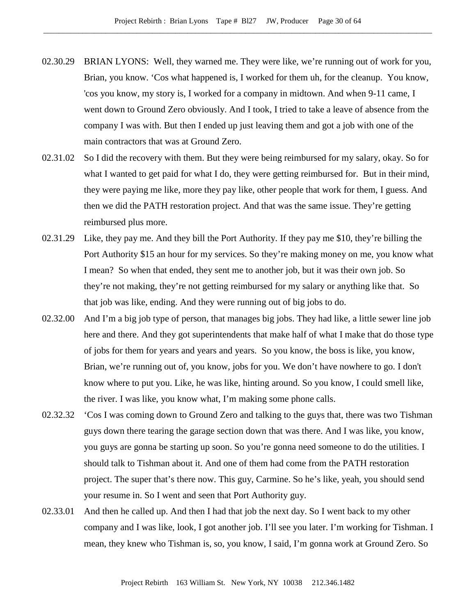- 02.30.29 BRIAN LYONS: Well, they warned me. They were like, we're running out of work for you, Brian, you know. 'Cos what happened is, I worked for them uh, for the cleanup. You know, 'cos you know, my story is, I worked for a company in midtown. And when 9-11 came, I went down to Ground Zero obviously. And I took, I tried to take a leave of absence from the company I was with. But then I ended up just leaving them and got a job with one of the main contractors that was at Ground Zero.
- 02.31.02 So I did the recovery with them. But they were being reimbursed for my salary, okay. So for what I wanted to get paid for what I do, they were getting reimbursed for. But in their mind, they were paying me like, more they pay like, other people that work for them, I guess. And then we did the PATH restoration project. And that was the same issue. They're getting reimbursed plus more.
- 02.31.29 Like, they pay me. And they bill the Port Authority. If they pay me \$10, they're billing the Port Authority \$15 an hour for my services. So they're making money on me, you know what I mean? So when that ended, they sent me to another job, but it was their own job. So they're not making, they're not getting reimbursed for my salary or anything like that. So that job was like, ending. And they were running out of big jobs to do.
- 02.32.00 And I'm a big job type of person, that manages big jobs. They had like, a little sewer line job here and there. And they got superintendents that make half of what I make that do those type of jobs for them for years and years and years. So you know, the boss is like, you know, Brian, we're running out of, you know, jobs for you. We don't have nowhere to go. I don't know where to put you. Like, he was like, hinting around. So you know, I could smell like, the river. I was like, you know what, I'm making some phone calls.
- 02.32.32 'Cos I was coming down to Ground Zero and talking to the guys that, there was two Tishman guys down there tearing the garage section down that was there. And I was like, you know, you guys are gonna be starting up soon. So you're gonna need someone to do the utilities. I should talk to Tishman about it. And one of them had come from the PATH restoration project. The super that's there now. This guy, Carmine. So he's like, yeah, you should send your resume in. So I went and seen that Port Authority guy.
- 02.33.01 And then he called up. And then I had that job the next day. So I went back to my other company and I was like, look, I got another job. I'll see you later. I'm working for Tishman. I mean, they knew who Tishman is, so, you know, I said, I'm gonna work at Ground Zero. So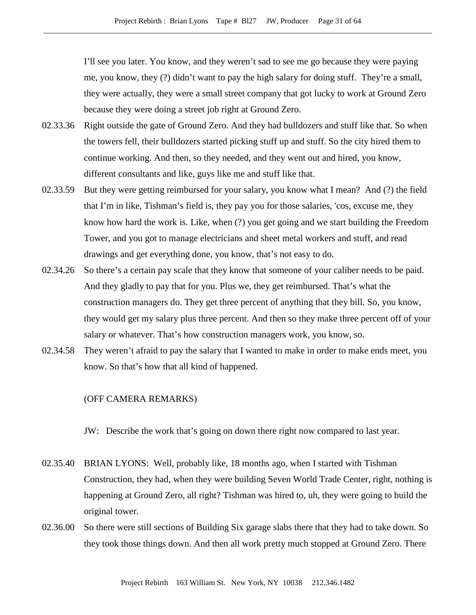I'll see you later. You know, and they weren't sad to see me go because they were paying me, you know, they (?) didn't want to pay the high salary for doing stuff. They're a small, they were actually, they were a small street company that got lucky to work at Ground Zero because they were doing a street job right at Ground Zero.

- 02.33.36 Right outside the gate of Ground Zero. And they had bulldozers and stuff like that. So when the towers fell, their bulldozers started picking stuff up and stuff. So the city hired them to continue working. And then, so they needed, and they went out and hired, you know, different consultants and like, guys like me and stuff like that.
- 02.33.59 But they were getting reimbursed for your salary, you know what I mean? And (?) the field that I'm in like, Tishman's field is, they pay you for those salaries, 'cos, excuse me, they know how hard the work is. Like, when (?) you get going and we start building the Freedom Tower, and you got to manage electricians and sheet metal workers and stuff, and read drawings and get everything done, you know, that's not easy to do.
- 02.34.26 So there's a certain pay scale that they know that someone of your caliber needs to be paid. And they gladly to pay that for you. Plus we, they get reimbursed. That's what the construction managers do. They get three percent of anything that they bill. So, you know, they would get my salary plus three percent. And then so they make three percent off of your salary or whatever. That's how construction managers work, you know, so.
- 02.34.58 They weren't afraid to pay the salary that I wanted to make in order to make ends meet, you know. So that's how that all kind of happened.

# (OFF CAMERA REMARKS)

JW: Describe the work that's going on down there right now compared to last year.

- 02.35.40 BRIAN LYONS: Well, probably like, 18 months ago, when I started with Tishman Construction, they had, when they were building Seven World Trade Center, right, nothing is happening at Ground Zero, all right? Tishman was hired to, uh, they were going to build the original tower.
- 02.36.00 So there were still sections of Building Six garage slabs there that they had to take down. So they took those things down. And then all work pretty much stopped at Ground Zero. There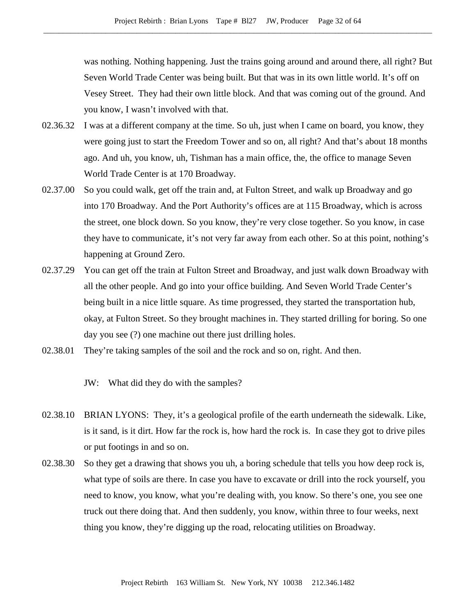was nothing. Nothing happening. Just the trains going around and around there, all right? But Seven World Trade Center was being built. But that was in its own little world. It's off on Vesey Street. They had their own little block. And that was coming out of the ground. And you know, I wasn't involved with that.

- 02.36.32 I was at a different company at the time. So uh, just when I came on board, you know, they were going just to start the Freedom Tower and so on, all right? And that's about 18 months ago. And uh, you know, uh, Tishman has a main office, the, the office to manage Seven World Trade Center is at 170 Broadway.
- 02.37.00 So you could walk, get off the train and, at Fulton Street, and walk up Broadway and go into 170 Broadway. And the Port Authority's offices are at 115 Broadway, which is across the street, one block down. So you know, they're very close together. So you know, in case they have to communicate, it's not very far away from each other. So at this point, nothing's happening at Ground Zero.
- 02.37.29 You can get off the train at Fulton Street and Broadway, and just walk down Broadway with all the other people. And go into your office building. And Seven World Trade Center's being built in a nice little square. As time progressed, they started the transportation hub, okay, at Fulton Street. So they brought machines in. They started drilling for boring. So one day you see (?) one machine out there just drilling holes.
- 02.38.01 They're taking samples of the soil and the rock and so on, right. And then.
	- JW: What did they do with the samples?
- 02.38.10 BRIAN LYONS: They, it's a geological profile of the earth underneath the sidewalk. Like, is it sand, is it dirt. How far the rock is, how hard the rock is. In case they got to drive piles or put footings in and so on.
- 02.38.30 So they get a drawing that shows you uh, a boring schedule that tells you how deep rock is, what type of soils are there. In case you have to excavate or drill into the rock yourself, you need to know, you know, what you're dealing with, you know. So there's one, you see one truck out there doing that. And then suddenly, you know, within three to four weeks, next thing you know, they're digging up the road, relocating utilities on Broadway.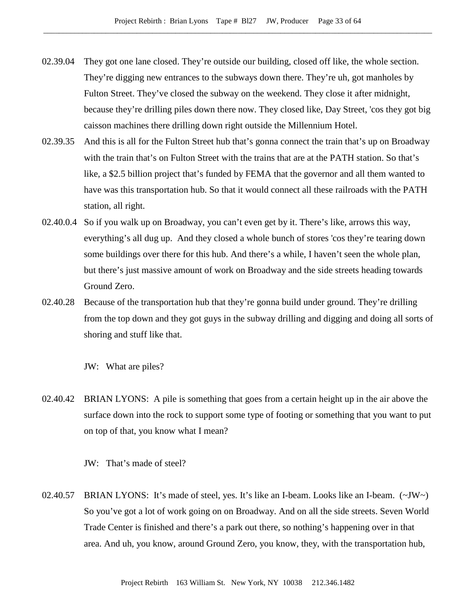- 02.39.04 They got one lane closed. They're outside our building, closed off like, the whole section. They're digging new entrances to the subways down there. They're uh, got manholes by Fulton Street. They've closed the subway on the weekend. They close it after midnight, because they're drilling piles down there now. They closed like, Day Street, 'cos they got big caisson machines there drilling down right outside the Millennium Hotel.
- 02.39.35 And this is all for the Fulton Street hub that's gonna connect the train that's up on Broadway with the train that's on Fulton Street with the trains that are at the PATH station. So that's like, a \$2.5 billion project that's funded by FEMA that the governor and all them wanted to have was this transportation hub. So that it would connect all these railroads with the PATH station, all right.
- 02.40.0.4 So if you walk up on Broadway, you can't even get by it. There's like, arrows this way, everything's all dug up. And they closed a whole bunch of stores 'cos they're tearing down some buildings over there for this hub. And there's a while, I haven't seen the whole plan, but there's just massive amount of work on Broadway and the side streets heading towards Ground Zero.
- 02.40.28 Because of the transportation hub that they're gonna build under ground. They're drilling from the top down and they got guys in the subway drilling and digging and doing all sorts of shoring and stuff like that.

JW: What are piles?

02.40.42 BRIAN LYONS: A pile is something that goes from a certain height up in the air above the surface down into the rock to support some type of footing or something that you want to put on top of that, you know what I mean?

JW: That's made of steel?

02.40.57 BRIAN LYONS: It's made of steel, yes. It's like an I-beam. Looks like an I-beam. (~JW~) So you've got a lot of work going on on Broadway. And on all the side streets. Seven World Trade Center is finished and there's a park out there, so nothing's happening over in that area. And uh, you know, around Ground Zero, you know, they, with the transportation hub,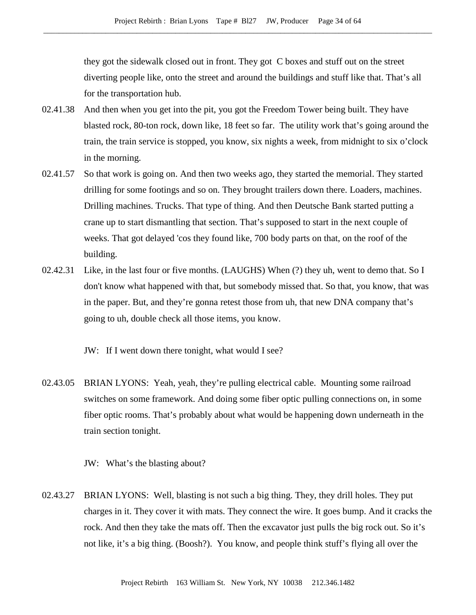they got the sidewalk closed out in front. They got C boxes and stuff out on the street diverting people like, onto the street and around the buildings and stuff like that. That's all for the transportation hub.

- 02.41.38 And then when you get into the pit, you got the Freedom Tower being built. They have blasted rock, 80-ton rock, down like, 18 feet so far. The utility work that's going around the train, the train service is stopped, you know, six nights a week, from midnight to six o'clock in the morning.
- 02.41.57 So that work is going on. And then two weeks ago, they started the memorial. They started drilling for some footings and so on. They brought trailers down there. Loaders, machines. Drilling machines. Trucks. That type of thing. And then Deutsche Bank started putting a crane up to start dismantling that section. That's supposed to start in the next couple of weeks. That got delayed 'cos they found like, 700 body parts on that, on the roof of the building.
- 02.42.31 Like, in the last four or five months. (LAUGHS) When (?) they uh, went to demo that. So I don't know what happened with that, but somebody missed that. So that, you know, that was in the paper. But, and they're gonna retest those from uh, that new DNA company that's going to uh, double check all those items, you know.

JW: If I went down there tonight, what would I see?

02.43.05 BRIAN LYONS: Yeah, yeah, they're pulling electrical cable. Mounting some railroad switches on some framework. And doing some fiber optic pulling connections on, in some fiber optic rooms. That's probably about what would be happening down underneath in the train section tonight.

JW: What's the blasting about?

02.43.27 BRIAN LYONS: Well, blasting is not such a big thing. They, they drill holes. They put charges in it. They cover it with mats. They connect the wire. It goes bump. And it cracks the rock. And then they take the mats off. Then the excavator just pulls the big rock out. So it's not like, it's a big thing. (Boosh?). You know, and people think stuff's flying all over the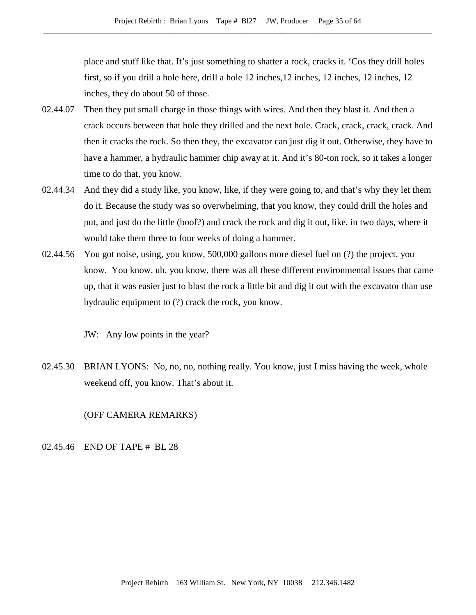place and stuff like that. It's just something to shatter a rock, cracks it. 'Cos they drill holes first, so if you drill a hole here, drill a hole 12 inches,12 inches, 12 inches, 12 inches, 12 inches, they do about 50 of those.

- 02.44.07 Then they put small charge in those things with wires. And then they blast it. And then a crack occurs between that hole they drilled and the next hole. Crack, crack, crack, crack. And then it cracks the rock. So then they, the excavator can just dig it out. Otherwise, they have to have a hammer, a hydraulic hammer chip away at it. And it's 80-ton rock, so it takes a longer time to do that, you know.
- 02.44.34 And they did a study like, you know, like, if they were going to, and that's why they let them do it. Because the study was so overwhelming, that you know, they could drill the holes and put, and just do the little (boof?) and crack the rock and dig it out, like, in two days, where it would take them three to four weeks of doing a hammer.
- 02.44.56 You got noise, using, you know, 500,000 gallons more diesel fuel on (?) the project, you know. You know, uh, you know, there was all these different environmental issues that came up, that it was easier just to blast the rock a little bit and dig it out with the excavator than use hydraulic equipment to (?) crack the rock, you know.

JW: Any low points in the year?

02.45.30 BRIAN LYONS: No, no, no, nothing really. You know, just I miss having the week, whole weekend off, you know. That's about it.

## (OFF CAMERA REMARKS)

#### 02.45.46 END OF TAPE # BL 28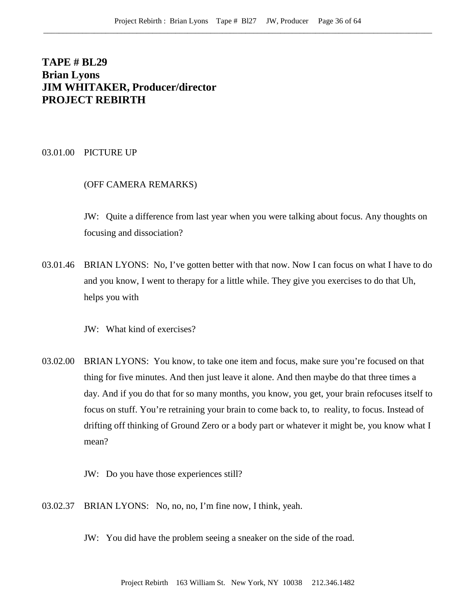# **TAPE # BL29 Brian Lyons JIM WHITAKER, Producer/director PROJECT REBIRTH**

03.01.00 PICTURE UP

### (OFF CAMERA REMARKS)

JW: Quite a difference from last year when you were talking about focus. Any thoughts on focusing and dissociation?

03.01.46 BRIAN LYONS: No, I've gotten better with that now. Now I can focus on what I have to do and you know, I went to therapy for a little while. They give you exercises to do that Uh, helps you with

JW: What kind of exercises?

- 03.02.00 BRIAN LYONS: You know, to take one item and focus, make sure you're focused on that thing for five minutes. And then just leave it alone. And then maybe do that three times a day. And if you do that for so many months, you know, you get, your brain refocuses itself to focus on stuff. You're retraining your brain to come back to, to reality, to focus. Instead of drifting off thinking of Ground Zero or a body part or whatever it might be, you know what I mean?
	- JW: Do you have those experiences still?
- 03.02.37 BRIAN LYONS: No, no, no, I'm fine now, I think, yeah.
	- JW: You did have the problem seeing a sneaker on the side of the road.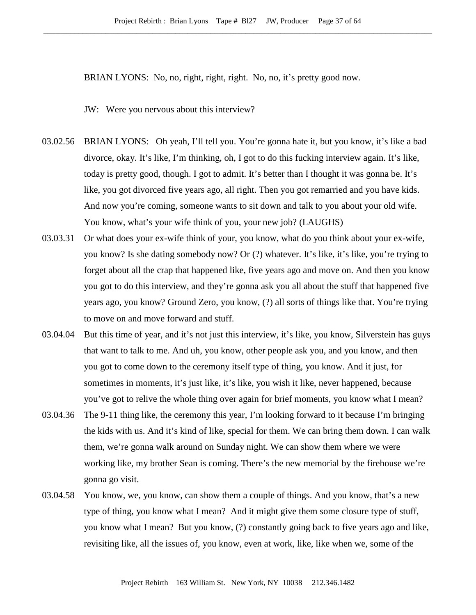BRIAN LYONS: No, no, right, right, right. No, no, it's pretty good now.

JW: Were you nervous about this interview?

- 03.02.56 BRIAN LYONS: Oh yeah, I'll tell you. You're gonna hate it, but you know, it's like a bad divorce, okay. It's like, I'm thinking, oh, I got to do this fucking interview again. It's like, today is pretty good, though. I got to admit. It's better than I thought it was gonna be. It's like, you got divorced five years ago, all right. Then you got remarried and you have kids. And now you're coming, someone wants to sit down and talk to you about your old wife. You know, what's your wife think of you, your new job? (LAUGHS)
- 03.03.31 Or what does your ex-wife think of your, you know, what do you think about your ex-wife, you know? Is she dating somebody now? Or (?) whatever. It's like, it's like, you're trying to forget about all the crap that happened like, five years ago and move on. And then you know you got to do this interview, and they're gonna ask you all about the stuff that happened five years ago, you know? Ground Zero, you know, (?) all sorts of things like that. You're trying to move on and move forward and stuff.
- 03.04.04 But this time of year, and it's not just this interview, it's like, you know, Silverstein has guys that want to talk to me. And uh, you know, other people ask you, and you know, and then you got to come down to the ceremony itself type of thing, you know. And it just, for sometimes in moments, it's just like, it's like, you wish it like, never happened, because you've got to relive the whole thing over again for brief moments, you know what I mean?
- 03.04.36 The 9-11 thing like, the ceremony this year, I'm looking forward to it because I'm bringing the kids with us. And it's kind of like, special for them. We can bring them down. I can walk them, we're gonna walk around on Sunday night. We can show them where we were working like, my brother Sean is coming. There's the new memorial by the firehouse we're gonna go visit.
- 03.04.58 You know, we, you know, can show them a couple of things. And you know, that's a new type of thing, you know what I mean? And it might give them some closure type of stuff, you know what I mean? But you know, (?) constantly going back to five years ago and like, revisiting like, all the issues of, you know, even at work, like, like when we, some of the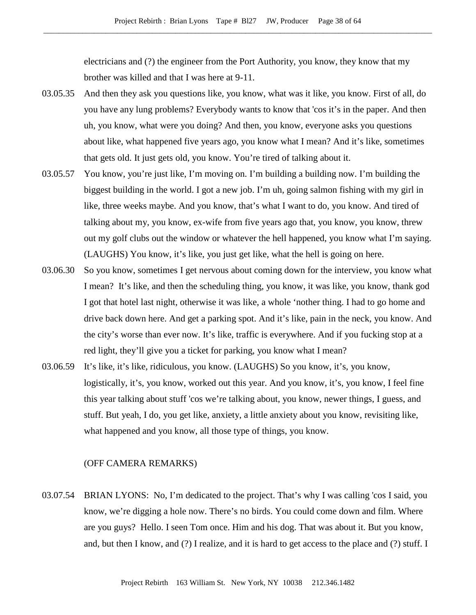electricians and (?) the engineer from the Port Authority, you know, they know that my brother was killed and that I was here at 9-11.

- 03.05.35 And then they ask you questions like, you know, what was it like, you know. First of all, do you have any lung problems? Everybody wants to know that 'cos it's in the paper. And then uh, you know, what were you doing? And then, you know, everyone asks you questions about like, what happened five years ago, you know what I mean? And it's like, sometimes that gets old. It just gets old, you know. You're tired of talking about it.
- 03.05.57 You know, you're just like, I'm moving on. I'm building a building now. I'm building the biggest building in the world. I got a new job. I'm uh, going salmon fishing with my girl in like, three weeks maybe. And you know, that's what I want to do, you know. And tired of talking about my, you know, ex-wife from five years ago that, you know, you know, threw out my golf clubs out the window or whatever the hell happened, you know what I'm saying. (LAUGHS) You know, it's like, you just get like, what the hell is going on here.
- 03.06.30 So you know, sometimes I get nervous about coming down for the interview, you know what I mean? It's like, and then the scheduling thing, you know, it was like, you know, thank god I got that hotel last night, otherwise it was like, a whole 'nother thing. I had to go home and drive back down here. And get a parking spot. And it's like, pain in the neck, you know. And the city's worse than ever now. It's like, traffic is everywhere. And if you fucking stop at a red light, they'll give you a ticket for parking, you know what I mean?
- 03.06.59 It's like, it's like, ridiculous, you know. (LAUGHS) So you know, it's, you know, logistically, it's, you know, worked out this year. And you know, it's, you know, I feel fine this year talking about stuff 'cos we're talking about, you know, newer things, I guess, and stuff. But yeah, I do, you get like, anxiety, a little anxiety about you know, revisiting like, what happened and you know, all those type of things, you know.

## (OFF CAMERA REMARKS)

03.07.54 BRIAN LYONS: No, I'm dedicated to the project. That's why I was calling 'cos I said, you know, we're digging a hole now. There's no birds. You could come down and film. Where are you guys? Hello. I seen Tom once. Him and his dog. That was about it. But you know, and, but then I know, and (?) I realize, and it is hard to get access to the place and (?) stuff. I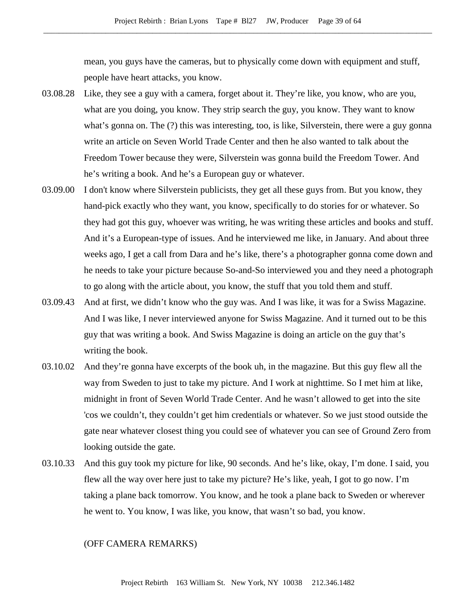mean, you guys have the cameras, but to physically come down with equipment and stuff, people have heart attacks, you know.

- 03.08.28 Like, they see a guy with a camera, forget about it. They're like, you know, who are you, what are you doing, you know. They strip search the guy, you know. They want to know what's gonna on. The (?) this was interesting, too, is like, Silverstein, there were a guy gonna write an article on Seven World Trade Center and then he also wanted to talk about the Freedom Tower because they were, Silverstein was gonna build the Freedom Tower. And he's writing a book. And he's a European guy or whatever.
- 03.09.00 I don't know where Silverstein publicists, they get all these guys from. But you know, they hand-pick exactly who they want, you know, specifically to do stories for or whatever. So they had got this guy, whoever was writing, he was writing these articles and books and stuff. And it's a European-type of issues. And he interviewed me like, in January. And about three weeks ago, I get a call from Dara and he's like, there's a photographer gonna come down and he needs to take your picture because So-and-So interviewed you and they need a photograph to go along with the article about, you know, the stuff that you told them and stuff.
- 03.09.43 And at first, we didn't know who the guy was. And I was like, it was for a Swiss Magazine. And I was like, I never interviewed anyone for Swiss Magazine. And it turned out to be this guy that was writing a book. And Swiss Magazine is doing an article on the guy that's writing the book.
- 03.10.02 And they're gonna have excerpts of the book uh, in the magazine. But this guy flew all the way from Sweden to just to take my picture. And I work at nighttime. So I met him at like, midnight in front of Seven World Trade Center. And he wasn't allowed to get into the site 'cos we couldn't, they couldn't get him credentials or whatever. So we just stood outside the gate near whatever closest thing you could see of whatever you can see of Ground Zero from looking outside the gate.
- 03.10.33 And this guy took my picture for like, 90 seconds. And he's like, okay, I'm done. I said, you flew all the way over here just to take my picture? He's like, yeah, I got to go now. I'm taking a plane back tomorrow. You know, and he took a plane back to Sweden or wherever he went to. You know, I was like, you know, that wasn't so bad, you know.

## (OFF CAMERA REMARKS)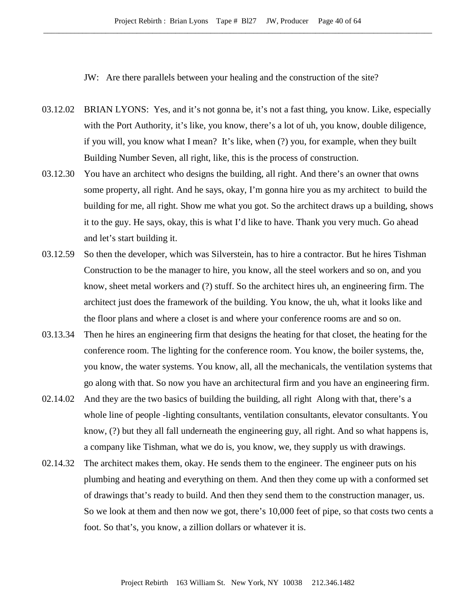JW: Are there parallels between your healing and the construction of the site?

- 03.12.02 BRIAN LYONS: Yes, and it's not gonna be, it's not a fast thing, you know. Like, especially with the Port Authority, it's like, you know, there's a lot of uh, you know, double diligence, if you will, you know what I mean? It's like, when (?) you, for example, when they built Building Number Seven, all right, like, this is the process of construction.
- 03.12.30 You have an architect who designs the building, all right. And there's an owner that owns some property, all right. And he says, okay, I'm gonna hire you as my architect to build the building for me, all right. Show me what you got. So the architect draws up a building, shows it to the guy. He says, okay, this is what I'd like to have. Thank you very much. Go ahead and let's start building it.
- 03.12.59 So then the developer, which was Silverstein, has to hire a contractor. But he hires Tishman Construction to be the manager to hire, you know, all the steel workers and so on, and you know, sheet metal workers and (?) stuff. So the architect hires uh, an engineering firm. The architect just does the framework of the building. You know, the uh, what it looks like and the floor plans and where a closet is and where your conference rooms are and so on.
- 03.13.34 Then he hires an engineering firm that designs the heating for that closet, the heating for the conference room. The lighting for the conference room. You know, the boiler systems, the, you know, the water systems. You know, all, all the mechanicals, the ventilation systems that go along with that. So now you have an architectural firm and you have an engineering firm.
- 02.14.02 And they are the two basics of building the building, all right Along with that, there's a whole line of people -lighting consultants, ventilation consultants, elevator consultants. You know, (?) but they all fall underneath the engineering guy, all right. And so what happens is, a company like Tishman, what we do is, you know, we, they supply us with drawings.
- 02.14.32 The architect makes them, okay. He sends them to the engineer. The engineer puts on his plumbing and heating and everything on them. And then they come up with a conformed set of drawings that's ready to build. And then they send them to the construction manager, us. So we look at them and then now we got, there's 10,000 feet of pipe, so that costs two cents a foot. So that's, you know, a zillion dollars or whatever it is.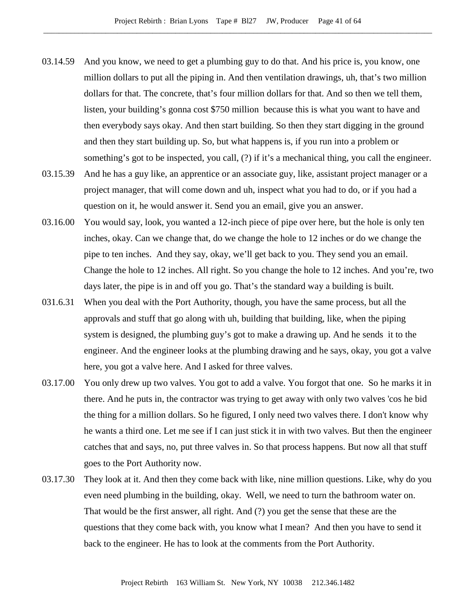- 03.14.59 And you know, we need to get a plumbing guy to do that. And his price is, you know, one million dollars to put all the piping in. And then ventilation drawings, uh, that's two million dollars for that. The concrete, that's four million dollars for that. And so then we tell them, listen, your building's gonna cost \$750 million because this is what you want to have and then everybody says okay. And then start building. So then they start digging in the ground and then they start building up. So, but what happens is, if you run into a problem or something's got to be inspected, you call, (?) if it's a mechanical thing, you call the engineer.
- 03.15.39 And he has a guy like, an apprentice or an associate guy, like, assistant project manager or a project manager, that will come down and uh, inspect what you had to do, or if you had a question on it, he would answer it. Send you an email, give you an answer.
- 03.16.00 You would say, look, you wanted a 12-inch piece of pipe over here, but the hole is only ten inches, okay. Can we change that, do we change the hole to 12 inches or do we change the pipe to ten inches. And they say, okay, we'll get back to you. They send you an email. Change the hole to 12 inches. All right. So you change the hole to 12 inches. And you're, two days later, the pipe is in and off you go. That's the standard way a building is built.
- 031.6.31 When you deal with the Port Authority, though, you have the same process, but all the approvals and stuff that go along with uh, building that building, like, when the piping system is designed, the plumbing guy's got to make a drawing up. And he sends it to the engineer. And the engineer looks at the plumbing drawing and he says, okay, you got a valve here, you got a valve here. And I asked for three valves.
- 03.17.00 You only drew up two valves. You got to add a valve. You forgot that one. So he marks it in there. And he puts in, the contractor was trying to get away with only two valves 'cos he bid the thing for a million dollars. So he figured, I only need two valves there. I don't know why he wants a third one. Let me see if I can just stick it in with two valves. But then the engineer catches that and says, no, put three valves in. So that process happens. But now all that stuff goes to the Port Authority now.
- 03.17.30 They look at it. And then they come back with like, nine million questions. Like, why do you even need plumbing in the building, okay. Well, we need to turn the bathroom water on. That would be the first answer, all right. And (?) you get the sense that these are the questions that they come back with, you know what I mean? And then you have to send it back to the engineer. He has to look at the comments from the Port Authority.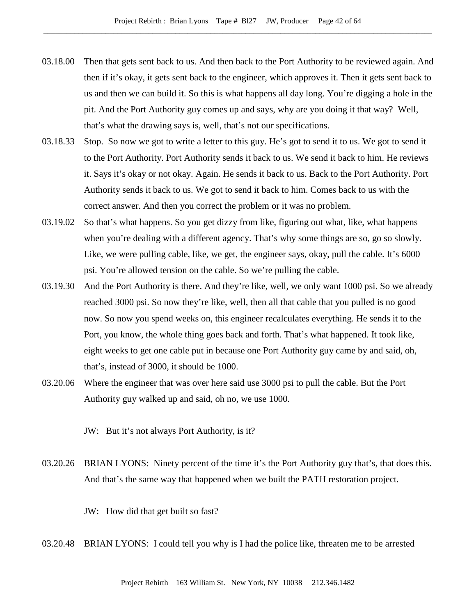- 03.18.00 Then that gets sent back to us. And then back to the Port Authority to be reviewed again. And then if it's okay, it gets sent back to the engineer, which approves it. Then it gets sent back to us and then we can build it. So this is what happens all day long. You're digging a hole in the pit. And the Port Authority guy comes up and says, why are you doing it that way? Well, that's what the drawing says is, well, that's not our specifications.
- 03.18.33 Stop. So now we got to write a letter to this guy. He's got to send it to us. We got to send it to the Port Authority. Port Authority sends it back to us. We send it back to him. He reviews it. Says it's okay or not okay. Again. He sends it back to us. Back to the Port Authority. Port Authority sends it back to us. We got to send it back to him. Comes back to us with the correct answer. And then you correct the problem or it was no problem.
- 03.19.02 So that's what happens. So you get dizzy from like, figuring out what, like, what happens when you're dealing with a different agency. That's why some things are so, go so slowly. Like, we were pulling cable, like, we get, the engineer says, okay, pull the cable. It's 6000 psi. You're allowed tension on the cable. So we're pulling the cable.
- 03.19.30 And the Port Authority is there. And they're like, well, we only want 1000 psi. So we already reached 3000 psi. So now they're like, well, then all that cable that you pulled is no good now. So now you spend weeks on, this engineer recalculates everything. He sends it to the Port, you know, the whole thing goes back and forth. That's what happened. It took like, eight weeks to get one cable put in because one Port Authority guy came by and said, oh, that's, instead of 3000, it should be 1000.
- 03.20.06 Where the engineer that was over here said use 3000 psi to pull the cable. But the Port Authority guy walked up and said, oh no, we use 1000.

JW: But it's not always Port Authority, is it?

03.20.26 BRIAN LYONS: Ninety percent of the time it's the Port Authority guy that's, that does this. And that's the same way that happened when we built the PATH restoration project.

JW: How did that get built so fast?

03.20.48 BRIAN LYONS: I could tell you why is I had the police like, threaten me to be arrested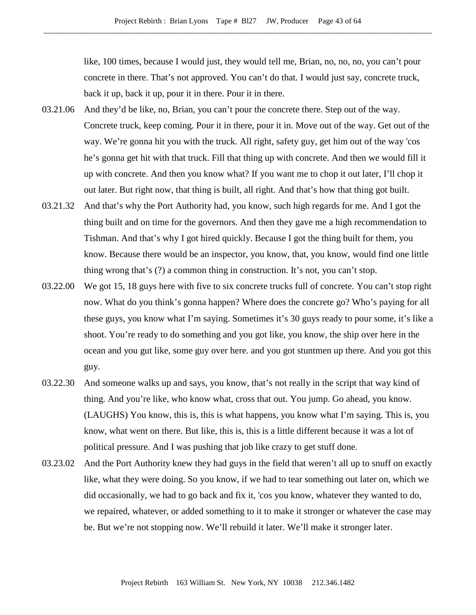like, 100 times, because I would just, they would tell me, Brian, no, no, no, you can't pour concrete in there. That's not approved. You can't do that. I would just say, concrete truck, back it up, back it up, pour it in there. Pour it in there.

- 03.21.06 And they'd be like, no, Brian, you can't pour the concrete there. Step out of the way. Concrete truck, keep coming. Pour it in there, pour it in. Move out of the way. Get out of the way. We're gonna hit you with the truck. All right, safety guy, get him out of the way 'cos he's gonna get hit with that truck. Fill that thing up with concrete. And then we would fill it up with concrete. And then you know what? If you want me to chop it out later, I'll chop it out later. But right now, that thing is built, all right. And that's how that thing got built.
- 03.21.32 And that's why the Port Authority had, you know, such high regards for me. And I got the thing built and on time for the governors. And then they gave me a high recommendation to Tishman. And that's why I got hired quickly. Because I got the thing built for them, you know. Because there would be an inspector, you know, that, you know, would find one little thing wrong that's (?) a common thing in construction. It's not, you can't stop.
- 03.22.00 We got 15, 18 guys here with five to six concrete trucks full of concrete. You can't stop right now. What do you think's gonna happen? Where does the concrete go? Who's paying for all these guys, you know what I'm saying. Sometimes it's 30 guys ready to pour some, it's like a shoot. You're ready to do something and you got like, you know, the ship over here in the ocean and you gut like, some guy over here. and you got stuntmen up there. And you got this guy.
- 03.22.30 And someone walks up and says, you know, that's not really in the script that way kind of thing. And you're like, who know what, cross that out. You jump. Go ahead, you know. (LAUGHS) You know, this is, this is what happens, you know what I'm saying. This is, you know, what went on there. But like, this is, this is a little different because it was a lot of political pressure. And I was pushing that job like crazy to get stuff done.
- 03.23.02 And the Port Authority knew they had guys in the field that weren't all up to snuff on exactly like, what they were doing. So you know, if we had to tear something out later on, which we did occasionally, we had to go back and fix it, 'cos you know, whatever they wanted to do, we repaired, whatever, or added something to it to make it stronger or whatever the case may be. But we're not stopping now. We'll rebuild it later. We'll make it stronger later.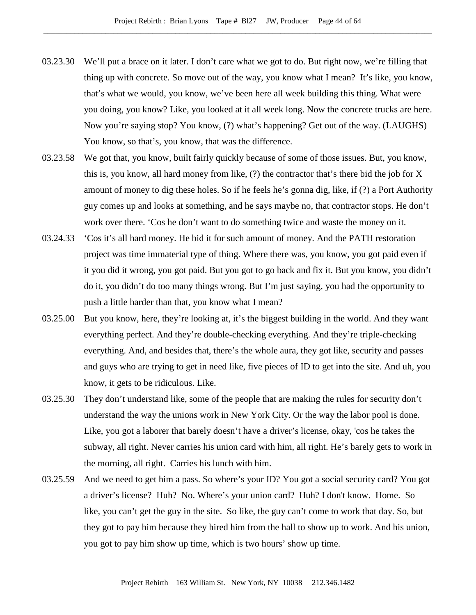- 03.23.30 We'll put a brace on it later. I don't care what we got to do. But right now, we're filling that thing up with concrete. So move out of the way, you know what I mean? It's like, you know, that's what we would, you know, we've been here all week building this thing. What were you doing, you know? Like, you looked at it all week long. Now the concrete trucks are here. Now you're saying stop? You know, (?) what's happening? Get out of the way. (LAUGHS) You know, so that's, you know, that was the difference.
- 03.23.58 We got that, you know, built fairly quickly because of some of those issues. But, you know, this is, you know, all hard money from like, (?) the contractor that's there bid the job for X amount of money to dig these holes. So if he feels he's gonna dig, like, if (?) a Port Authority guy comes up and looks at something, and he says maybe no, that contractor stops. He don't work over there. 'Cos he don't want to do something twice and waste the money on it.
- 03.24.33 'Cos it's all hard money. He bid it for such amount of money. And the PATH restoration project was time immaterial type of thing. Where there was, you know, you got paid even if it you did it wrong, you got paid. But you got to go back and fix it. But you know, you didn't do it, you didn't do too many things wrong. But I'm just saying, you had the opportunity to push a little harder than that, you know what I mean?
- 03.25.00 But you know, here, they're looking at, it's the biggest building in the world. And they want everything perfect. And they're double-checking everything. And they're triple-checking everything. And, and besides that, there's the whole aura, they got like, security and passes and guys who are trying to get in need like, five pieces of ID to get into the site. And uh, you know, it gets to be ridiculous. Like.
- 03.25.30 They don't understand like, some of the people that are making the rules for security don't understand the way the unions work in New York City. Or the way the labor pool is done. Like, you got a laborer that barely doesn't have a driver's license, okay, 'cos he takes the subway, all right. Never carries his union card with him, all right. He's barely gets to work in the morning, all right. Carries his lunch with him.
- 03.25.59 And we need to get him a pass. So where's your ID? You got a social security card? You got a driver's license? Huh? No. Where's your union card? Huh? I don't know. Home. So like, you can't get the guy in the site. So like, the guy can't come to work that day. So, but they got to pay him because they hired him from the hall to show up to work. And his union, you got to pay him show up time, which is two hours' show up time.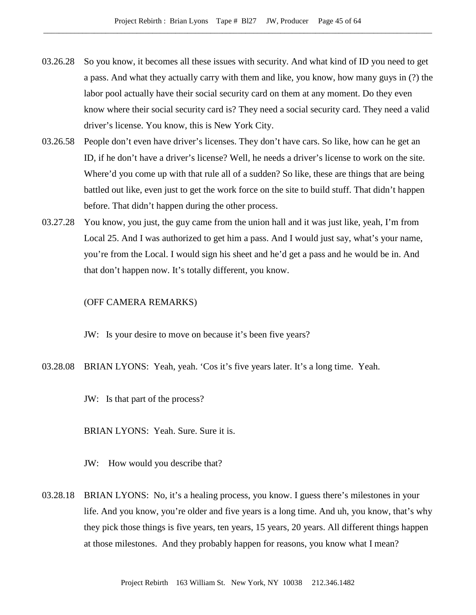- 03.26.28 So you know, it becomes all these issues with security. And what kind of ID you need to get a pass. And what they actually carry with them and like, you know, how many guys in (?) the labor pool actually have their social security card on them at any moment. Do they even know where their social security card is? They need a social security card. They need a valid driver's license. You know, this is New York City.
- 03.26.58 People don't even have driver's licenses. They don't have cars. So like, how can he get an ID, if he don't have a driver's license? Well, he needs a driver's license to work on the site. Where'd you come up with that rule all of a sudden? So like, these are things that are being battled out like, even just to get the work force on the site to build stuff. That didn't happen before. That didn't happen during the other process.
- 03.27.28 You know, you just, the guy came from the union hall and it was just like, yeah, I'm from Local 25. And I was authorized to get him a pass. And I would just say, what's your name, you're from the Local. I would sign his sheet and he'd get a pass and he would be in. And that don't happen now. It's totally different, you know.

#### (OFF CAMERA REMARKS)

JW: Is your desire to move on because it's been five years?

- 03.28.08 BRIAN LYONS: Yeah, yeah. 'Cos it's five years later. It's a long time. Yeah.
	- JW: Is that part of the process?

BRIAN LYONS: Yeah. Sure. Sure it is.

JW: How would you describe that?

03.28.18 BRIAN LYONS: No, it's a healing process, you know. I guess there's milestones in your life. And you know, you're older and five years is a long time. And uh, you know, that's why they pick those things is five years, ten years, 15 years, 20 years. All different things happen at those milestones. And they probably happen for reasons, you know what I mean?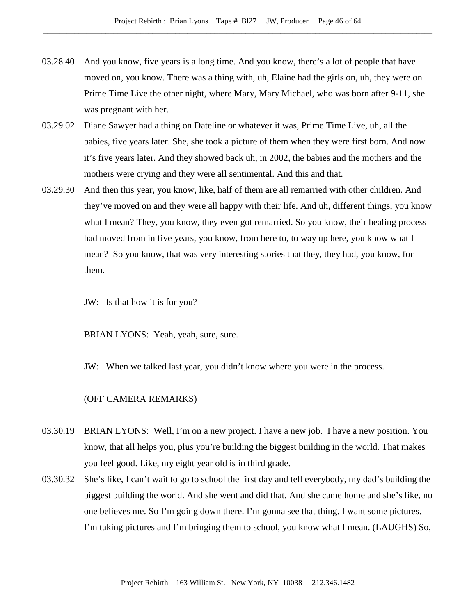- 03.28.40 And you know, five years is a long time. And you know, there's a lot of people that have moved on, you know. There was a thing with, uh, Elaine had the girls on, uh, they were on Prime Time Live the other night, where Mary, Mary Michael, who was born after 9-11, she was pregnant with her.
- 03.29.02 Diane Sawyer had a thing on Dateline or whatever it was, Prime Time Live, uh, all the babies, five years later. She, she took a picture of them when they were first born. And now it's five years later. And they showed back uh, in 2002, the babies and the mothers and the mothers were crying and they were all sentimental. And this and that.
- 03.29.30 And then this year, you know, like, half of them are all remarried with other children. And they've moved on and they were all happy with their life. And uh, different things, you know what I mean? They, you know, they even got remarried. So you know, their healing process had moved from in five years, you know, from here to, to way up here, you know what I mean? So you know, that was very interesting stories that they, they had, you know, for them.
	- JW: Is that how it is for you?

BRIAN LYONS: Yeah, yeah, sure, sure.

JW: When we talked last year, you didn't know where you were in the process.

# (OFF CAMERA REMARKS)

- 03.30.19 BRIAN LYONS: Well, I'm on a new project. I have a new job. I have a new position. You know, that all helps you, plus you're building the biggest building in the world. That makes you feel good. Like, my eight year old is in third grade.
- 03.30.32 She's like, I can't wait to go to school the first day and tell everybody, my dad's building the biggest building the world. And she went and did that. And she came home and she's like, no one believes me. So I'm going down there. I'm gonna see that thing. I want some pictures. I'm taking pictures and I'm bringing them to school, you know what I mean. (LAUGHS) So,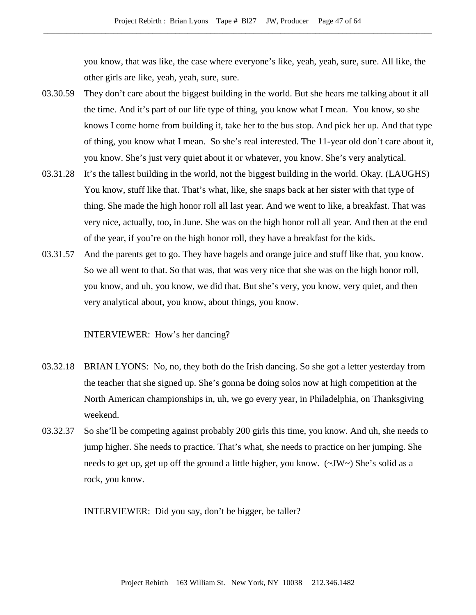you know, that was like, the case where everyone's like, yeah, yeah, sure, sure. All like, the other girls are like, yeah, yeah, sure, sure.

- 03.30.59 They don't care about the biggest building in the world. But she hears me talking about it all the time. And it's part of our life type of thing, you know what I mean. You know, so she knows I come home from building it, take her to the bus stop. And pick her up. And that type of thing, you know what I mean. So she's real interested. The 11-year old don't care about it, you know. She's just very quiet about it or whatever, you know. She's very analytical.
- 03.31.28 It's the tallest building in the world, not the biggest building in the world. Okay. (LAUGHS) You know, stuff like that. That's what, like, she snaps back at her sister with that type of thing. She made the high honor roll all last year. And we went to like, a breakfast. That was very nice, actually, too, in June. She was on the high honor roll all year. And then at the end of the year, if you're on the high honor roll, they have a breakfast for the kids.
- 03.31.57 And the parents get to go. They have bagels and orange juice and stuff like that, you know. So we all went to that. So that was, that was very nice that she was on the high honor roll, you know, and uh, you know, we did that. But she's very, you know, very quiet, and then very analytical about, you know, about things, you know.

## INTERVIEWER: How's her dancing?

- 03.32.18 BRIAN LYONS: No, no, they both do the Irish dancing. So she got a letter yesterday from the teacher that she signed up. She's gonna be doing solos now at high competition at the North American championships in, uh, we go every year, in Philadelphia, on Thanksgiving weekend.
- 03.32.37 So she'll be competing against probably 200 girls this time, you know. And uh, she needs to jump higher. She needs to practice. That's what, she needs to practice on her jumping. She needs to get up, get up off the ground a little higher, you know.  $(\sim JW \sim)$  She's solid as a rock, you know.

INTERVIEWER: Did you say, don't be bigger, be taller?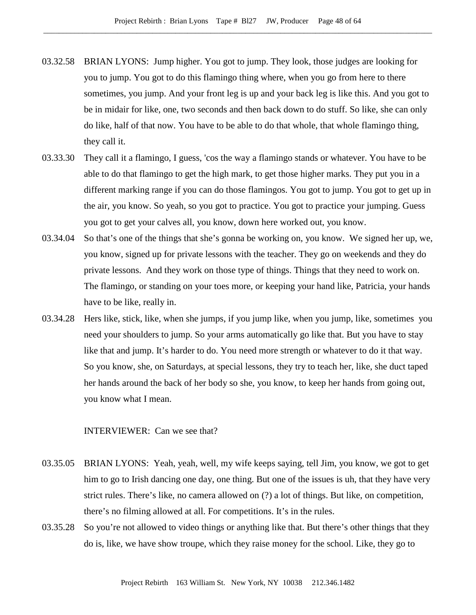- 03.32.58 BRIAN LYONS: Jump higher. You got to jump. They look, those judges are looking for you to jump. You got to do this flamingo thing where, when you go from here to there sometimes, you jump. And your front leg is up and your back leg is like this. And you got to be in midair for like, one, two seconds and then back down to do stuff. So like, she can only do like, half of that now. You have to be able to do that whole, that whole flamingo thing, they call it.
- 03.33.30 They call it a flamingo, I guess, 'cos the way a flamingo stands or whatever. You have to be able to do that flamingo to get the high mark, to get those higher marks. They put you in a different marking range if you can do those flamingos. You got to jump. You got to get up in the air, you know. So yeah, so you got to practice. You got to practice your jumping. Guess you got to get your calves all, you know, down here worked out, you know.
- 03.34.04 So that's one of the things that she's gonna be working on, you know. We signed her up, we, you know, signed up for private lessons with the teacher. They go on weekends and they do private lessons. And they work on those type of things. Things that they need to work on. The flamingo, or standing on your toes more, or keeping your hand like, Patricia, your hands have to be like, really in.
- 03.34.28 Hers like, stick, like, when she jumps, if you jump like, when you jump, like, sometimes you need your shoulders to jump. So your arms automatically go like that. But you have to stay like that and jump. It's harder to do. You need more strength or whatever to do it that way. So you know, she, on Saturdays, at special lessons, they try to teach her, like, she duct taped her hands around the back of her body so she, you know, to keep her hands from going out, you know what I mean.

INTERVIEWER: Can we see that?

- 03.35.05 BRIAN LYONS: Yeah, yeah, well, my wife keeps saying, tell Jim, you know, we got to get him to go to Irish dancing one day, one thing. But one of the issues is uh, that they have very strict rules. There's like, no camera allowed on (?) a lot of things. But like, on competition, there's no filming allowed at all. For competitions. It's in the rules.
- 03.35.28 So you're not allowed to video things or anything like that. But there's other things that they do is, like, we have show troupe, which they raise money for the school. Like, they go to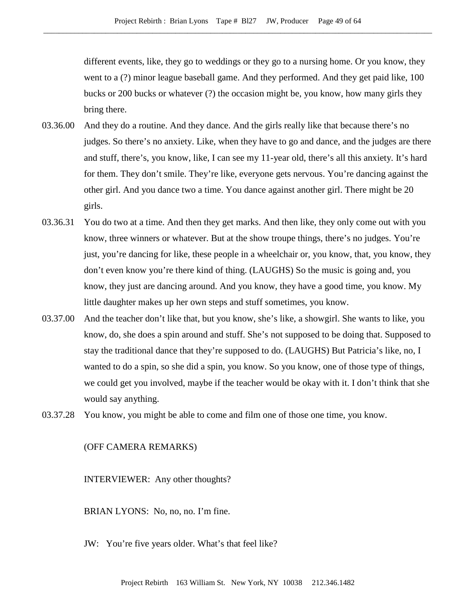different events, like, they go to weddings or they go to a nursing home. Or you know, they went to a (?) minor league baseball game. And they performed. And they get paid like, 100 bucks or 200 bucks or whatever (?) the occasion might be, you know, how many girls they bring there.

- 03.36.00 And they do a routine. And they dance. And the girls really like that because there's no judges. So there's no anxiety. Like, when they have to go and dance, and the judges are there and stuff, there's, you know, like, I can see my 11-year old, there's all this anxiety. It's hard for them. They don't smile. They're like, everyone gets nervous. You're dancing against the other girl. And you dance two a time. You dance against another girl. There might be 20 girls.
- 03.36.31 You do two at a time. And then they get marks. And then like, they only come out with you know, three winners or whatever. But at the show troupe things, there's no judges. You're just, you're dancing for like, these people in a wheelchair or, you know, that, you know, they don't even know you're there kind of thing. (LAUGHS) So the music is going and, you know, they just are dancing around. And you know, they have a good time, you know. My little daughter makes up her own steps and stuff sometimes, you know.
- 03.37.00 And the teacher don't like that, but you know, she's like, a showgirl. She wants to like, you know, do, she does a spin around and stuff. She's not supposed to be doing that. Supposed to stay the traditional dance that they're supposed to do. (LAUGHS) But Patricia's like, no, I wanted to do a spin, so she did a spin, you know. So you know, one of those type of things, we could get you involved, maybe if the teacher would be okay with it. I don't think that she would say anything.
- 03.37.28 You know, you might be able to come and film one of those one time, you know.

#### (OFF CAMERA REMARKS)

INTERVIEWER: Any other thoughts?

BRIAN LYONS: No, no, no. I'm fine.

JW: You're five years older. What's that feel like?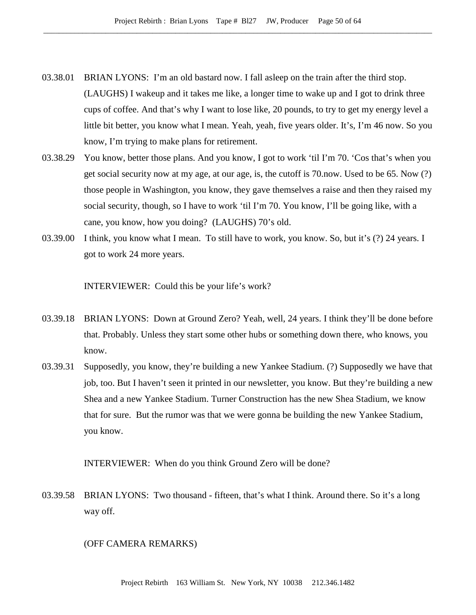- 03.38.01 BRIAN LYONS: I'm an old bastard now. I fall asleep on the train after the third stop. (LAUGHS) I wakeup and it takes me like, a longer time to wake up and I got to drink three cups of coffee. And that's why I want to lose like, 20 pounds, to try to get my energy level a little bit better, you know what I mean. Yeah, yeah, five years older. It's, I'm 46 now. So you know, I'm trying to make plans for retirement.
- 03.38.29 You know, better those plans. And you know, I got to work 'til I'm 70. 'Cos that's when you get social security now at my age, at our age, is, the cutoff is 70.now. Used to be 65. Now (?) those people in Washington, you know, they gave themselves a raise and then they raised my social security, though, so I have to work 'til I'm 70. You know, I'll be going like, with a cane, you know, how you doing? (LAUGHS) 70's old.
- 03.39.00 I think, you know what I mean. To still have to work, you know. So, but it's (?) 24 years. I got to work 24 more years.

INTERVIEWER: Could this be your life's work?

- 03.39.18 BRIAN LYONS: Down at Ground Zero? Yeah, well, 24 years. I think they'll be done before that. Probably. Unless they start some other hubs or something down there, who knows, you know.
- 03.39.31 Supposedly, you know, they're building a new Yankee Stadium. (?) Supposedly we have that job, too. But I haven't seen it printed in our newsletter, you know. But they're building a new Shea and a new Yankee Stadium. Turner Construction has the new Shea Stadium, we know that for sure. But the rumor was that we were gonna be building the new Yankee Stadium, you know.

INTERVIEWER: When do you think Ground Zero will be done?

03.39.58 BRIAN LYONS: Two thousand - fifteen, that's what I think. Around there. So it's a long way off.

## (OFF CAMERA REMARKS)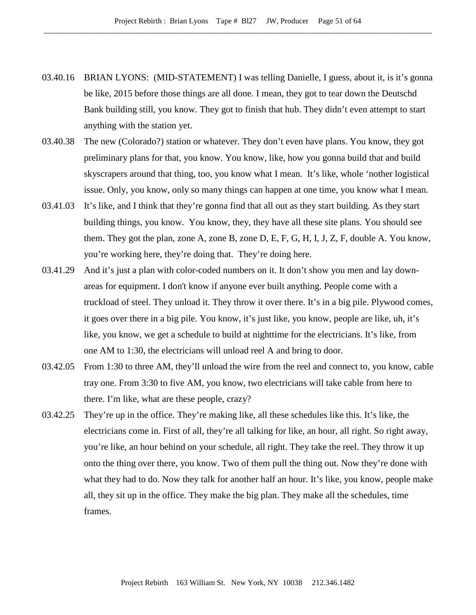- 03.40.16 BRIAN LYONS: (MID-STATEMENT) I was telling Danielle, I guess, about it, is it's gonna be like, 2015 before those things are all done. I mean, they got to tear down the Deutschd Bank building still, you know. They got to finish that hub. They didn't even attempt to start anything with the station yet.
- 03.40.38 The new (Colorado?) station or whatever. They don't even have plans. You know, they got preliminary plans for that, you know. You know, like, how you gonna build that and build skyscrapers around that thing, too, you know what I mean. It's like, whole 'nother logistical issue. Only, you know, only so many things can happen at one time, you know what I mean.
- 03.41.03 It's like, and I think that they're gonna find that all out as they start building. As they start building things, you know. You know, they, they have all these site plans. You should see them. They got the plan, zone A, zone B, zone D, E, F, G, H, I, J, Z, F, double A. You know, you're working here, they're doing that. They're doing here.
- 03.41.29 And it's just a plan with color-coded numbers on it. It don't show you men and lay downareas for equipment. I don't know if anyone ever built anything. People come with a truckload of steel. They unload it. They throw it over there. It's in a big pile. Plywood comes, it goes over there in a big pile. You know, it's just like, you know, people are like, uh, it's like, you know, we get a schedule to build at nighttime for the electricians. It's like, from one AM to 1:30, the electricians will unload reel A and bring to door.
- 03.42.05 From 1:30 to three AM, they'll unload the wire from the reel and connect to, you know, cable tray one. From 3:30 to five AM, you know, two electricians will take cable from here to there. I'm like, what are these people, crazy?
- 03.42.25 They're up in the office. They're making like, all these schedules like this. It's like, the electricians come in. First of all, they're all talking for like, an hour, all right. So right away, you're like, an hour behind on your schedule, all right. They take the reel. They throw it up onto the thing over there, you know. Two of them pull the thing out. Now they're done with what they had to do. Now they talk for another half an hour. It's like, you know, people make all, they sit up in the office. They make the big plan. They make all the schedules, time frames.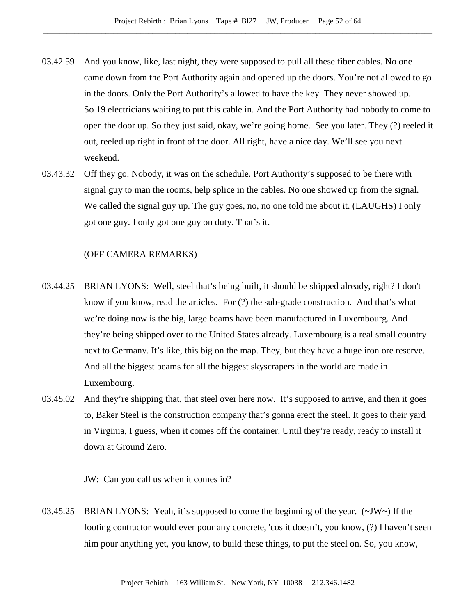- 03.42.59 And you know, like, last night, they were supposed to pull all these fiber cables. No one came down from the Port Authority again and opened up the doors. You're not allowed to go in the doors. Only the Port Authority's allowed to have the key. They never showed up. So 19 electricians waiting to put this cable in. And the Port Authority had nobody to come to open the door up. So they just said, okay, we're going home. See you later. They (?) reeled it out, reeled up right in front of the door. All right, have a nice day. We'll see you next weekend.
- 03.43.32 Off they go. Nobody, it was on the schedule. Port Authority's supposed to be there with signal guy to man the rooms, help splice in the cables. No one showed up from the signal. We called the signal guy up. The guy goes, no, no one told me about it. (LAUGHS) I only got one guy. I only got one guy on duty. That's it.

## (OFF CAMERA REMARKS)

- 03.44.25 BRIAN LYONS: Well, steel that's being built, it should be shipped already, right? I don't know if you know, read the articles. For (?) the sub-grade construction. And that's what we're doing now is the big, large beams have been manufactured in Luxembourg. And they're being shipped over to the United States already. Luxembourg is a real small country next to Germany. It's like, this big on the map. They, but they have a huge iron ore reserve. And all the biggest beams for all the biggest skyscrapers in the world are made in Luxembourg.
- 03.45.02 And they're shipping that, that steel over here now. It's supposed to arrive, and then it goes to, Baker Steel is the construction company that's gonna erect the steel. It goes to their yard in Virginia, I guess, when it comes off the container. Until they're ready, ready to install it down at Ground Zero.

JW: Can you call us when it comes in?

03.45.25 BRIAN LYONS: Yeah, it's supposed to come the beginning of the year.  $(\sim JW \sim)$  If the footing contractor would ever pour any concrete, 'cos it doesn't, you know, (?) I haven't seen him pour anything yet, you know, to build these things, to put the steel on. So, you know,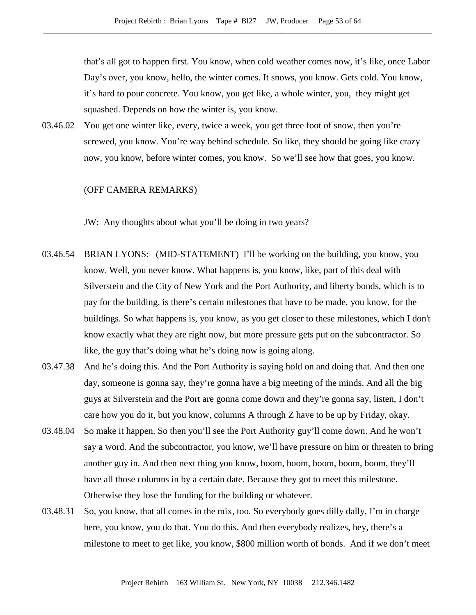that's all got to happen first. You know, when cold weather comes now, it's like, once Labor Day's over, you know, hello, the winter comes. It snows, you know. Gets cold. You know, it's hard to pour concrete. You know, you get like, a whole winter, you, they might get squashed. Depends on how the winter is, you know.

03.46.02 You get one winter like, every, twice a week, you get three foot of snow, then you're screwed, you know. You're way behind schedule. So like, they should be going like crazy now, you know, before winter comes, you know. So we'll see how that goes, you know.

# (OFF CAMERA REMARKS)

JW: Any thoughts about what you'll be doing in two years?

- 03.46.54 BRIAN LYONS: (MID-STATEMENT) I'll be working on the building, you know, you know. Well, you never know. What happens is, you know, like, part of this deal with Silverstein and the City of New York and the Port Authority, and liberty bonds, which is to pay for the building, is there's certain milestones that have to be made, you know, for the buildings. So what happens is, you know, as you get closer to these milestones, which I don't know exactly what they are right now, but more pressure gets put on the subcontractor. So like, the guy that's doing what he's doing now is going along.
- 03.47.38 And he's doing this. And the Port Authority is saying hold on and doing that. And then one day, someone is gonna say, they're gonna have a big meeting of the minds. And all the big guys at Silverstein and the Port are gonna come down and they're gonna say, listen, I don't care how you do it, but you know, columns A through Z have to be up by Friday, okay.
- 03.48.04 So make it happen. So then you'll see the Port Authority guy'll come down. And he won't say a word. And the subcontractor, you know, we'll have pressure on him or threaten to bring another guy in. And then next thing you know, boom, boom, boom, boom, boom, they'll have all those columns in by a certain date. Because they got to meet this milestone. Otherwise they lose the funding for the building or whatever.
- 03.48.31 So, you know, that all comes in the mix, too. So everybody goes dilly dally, I'm in charge here, you know, you do that. You do this. And then everybody realizes, hey, there's a milestone to meet to get like, you know, \$800 million worth of bonds. And if we don't meet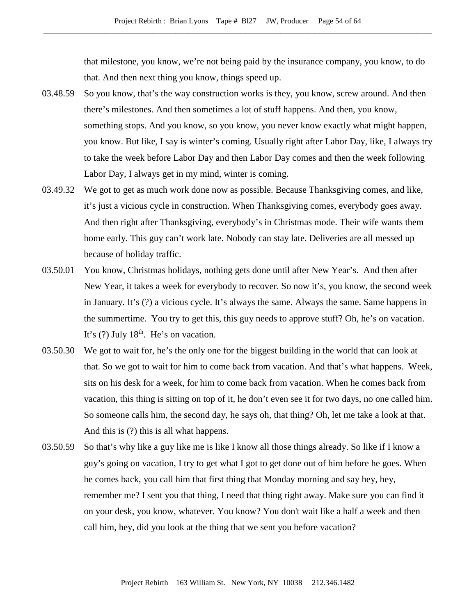that milestone, you know, we're not being paid by the insurance company, you know, to do that. And then next thing you know, things speed up.

- 03.48.59 So you know, that's the way construction works is they, you know, screw around. And then there's milestones. And then sometimes a lot of stuff happens. And then, you know, something stops. And you know, so you know, you never know exactly what might happen, you know. But like, I say is winter's coming. Usually right after Labor Day, like, I always try to take the week before Labor Day and then Labor Day comes and then the week following Labor Day, I always get in my mind, winter is coming.
- 03.49.32 We got to get as much work done now as possible. Because Thanksgiving comes, and like, it's just a vicious cycle in construction. When Thanksgiving comes, everybody goes away. And then right after Thanksgiving, everybody's in Christmas mode. Their wife wants them home early. This guy can't work late. Nobody can stay late. Deliveries are all messed up because of holiday traffic.
- 03.50.01 You know, Christmas holidays, nothing gets done until after New Year's. And then after New Year, it takes a week for everybody to recover. So now it's, you know, the second week in January. It's (?) a vicious cycle. It's always the same. Always the same. Same happens in the summertime. You try to get this, this guy needs to approve stuff? Oh, he's on vacation. It's  $(?)$  July 18<sup>th</sup>. He's on vacation.
- 03.50.30 We got to wait for, he's the only one for the biggest building in the world that can look at that. So we got to wait for him to come back from vacation. And that's what happens. Week, sits on his desk for a week, for him to come back from vacation. When he comes back from vacation, this thing is sitting on top of it, he don't even see it for two days, no one called him. So someone calls him, the second day, he says oh, that thing? Oh, let me take a look at that. And this is (?) this is all what happens.
- 03.50.59 So that's why like a guy like me is like I know all those things already. So like if I know a guy's going on vacation, I try to get what I got to get done out of him before he goes. When he comes back, you call him that first thing that Monday morning and say hey, hey, remember me? I sent you that thing, I need that thing right away. Make sure you can find it on your desk, you know, whatever. You know? You don't wait like a half a week and then call him, hey, did you look at the thing that we sent you before vacation?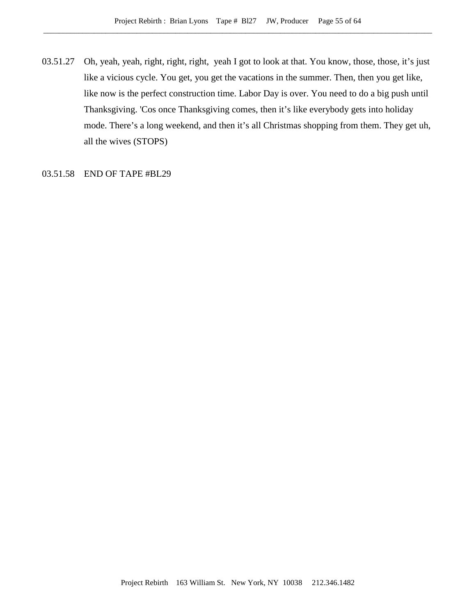03.51.27 Oh, yeah, yeah, right, right, right, yeah I got to look at that. You know, those, those, it's just like a vicious cycle. You get, you get the vacations in the summer. Then, then you get like, like now is the perfect construction time. Labor Day is over. You need to do a big push until Thanksgiving. 'Cos once Thanksgiving comes, then it's like everybody gets into holiday mode. There's a long weekend, and then it's all Christmas shopping from them. They get uh, all the wives (STOPS)

03.51.58 END OF TAPE #BL29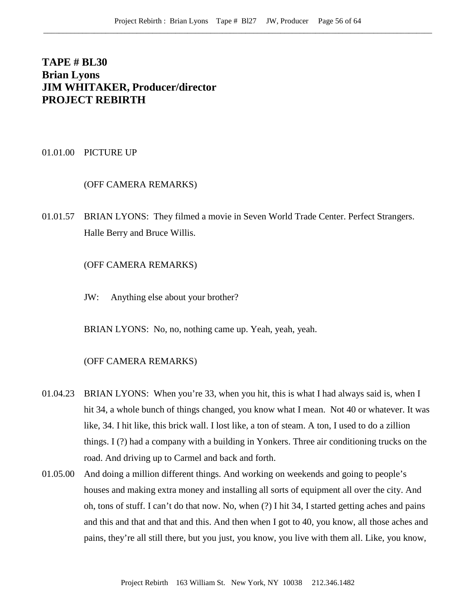# **TAPE # BL30 Brian Lyons JIM WHITAKER, Producer/director PROJECT REBIRTH**

01.01.00 PICTURE UP

## (OFF CAMERA REMARKS)

01.01.57 BRIAN LYONS: They filmed a movie in Seven World Trade Center. Perfect Strangers. Halle Berry and Bruce Willis.

(OFF CAMERA REMARKS)

JW: Anything else about your brother?

BRIAN LYONS: No, no, nothing came up. Yeah, yeah, yeah.

## (OFF CAMERA REMARKS)

- 01.04.23 BRIAN LYONS: When you're 33, when you hit, this is what I had always said is, when I hit 34, a whole bunch of things changed, you know what I mean. Not 40 or whatever. It was like, 34. I hit like, this brick wall. I lost like, a ton of steam. A ton, I used to do a zillion things. I (?) had a company with a building in Yonkers. Three air conditioning trucks on the road. And driving up to Carmel and back and forth.
- 01.05.00 And doing a million different things. And working on weekends and going to people's houses and making extra money and installing all sorts of equipment all over the city. And oh, tons of stuff. I can't do that now. No, when (?) I hit 34, I started getting aches and pains and this and that and that and this. And then when I got to 40, you know, all those aches and pains, they're all still there, but you just, you know, you live with them all. Like, you know,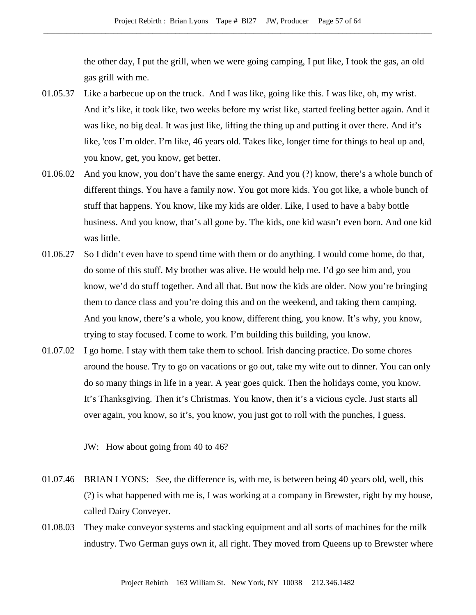the other day, I put the grill, when we were going camping, I put like, I took the gas, an old gas grill with me.

- 01.05.37 Like a barbecue up on the truck. And I was like, going like this. I was like, oh, my wrist. And it's like, it took like, two weeks before my wrist like, started feeling better again. And it was like, no big deal. It was just like, lifting the thing up and putting it over there. And it's like, 'cos I'm older. I'm like, 46 years old. Takes like, longer time for things to heal up and, you know, get, you know, get better.
- 01.06.02 And you know, you don't have the same energy. And you (?) know, there's a whole bunch of different things. You have a family now. You got more kids. You got like, a whole bunch of stuff that happens. You know, like my kids are older. Like, I used to have a baby bottle business. And you know, that's all gone by. The kids, one kid wasn't even born. And one kid was little.
- 01.06.27 So I didn't even have to spend time with them or do anything. I would come home, do that, do some of this stuff. My brother was alive. He would help me. I'd go see him and, you know, we'd do stuff together. And all that. But now the kids are older. Now you're bringing them to dance class and you're doing this and on the weekend, and taking them camping. And you know, there's a whole, you know, different thing, you know. It's why, you know, trying to stay focused. I come to work. I'm building this building, you know.
- 01.07.02 I go home. I stay with them take them to school. Irish dancing practice. Do some chores around the house. Try to go on vacations or go out, take my wife out to dinner. You can only do so many things in life in a year. A year goes quick. Then the holidays come, you know. It's Thanksgiving. Then it's Christmas. You know, then it's a vicious cycle. Just starts all over again, you know, so it's, you know, you just got to roll with the punches, I guess.
	- JW: How about going from 40 to 46?
- 01.07.46 BRIAN LYONS: See, the difference is, with me, is between being 40 years old, well, this (?) is what happened with me is, I was working at a company in Brewster, right by my house, called Dairy Conveyer.
- 01.08.03 They make conveyor systems and stacking equipment and all sorts of machines for the milk industry. Two German guys own it, all right. They moved from Queens up to Brewster where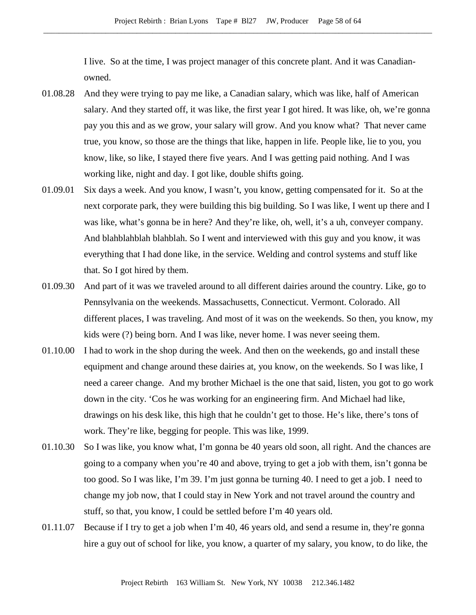I live. So at the time, I was project manager of this concrete plant. And it was Canadianowned.

- 01.08.28 And they were trying to pay me like, a Canadian salary, which was like, half of American salary. And they started off, it was like, the first year I got hired. It was like, oh, we're gonna pay you this and as we grow, your salary will grow. And you know what? That never came true, you know, so those are the things that like, happen in life. People like, lie to you, you know, like, so like, I stayed there five years. And I was getting paid nothing. And I was working like, night and day. I got like, double shifts going.
- 01.09.01 Six days a week. And you know, I wasn't, you know, getting compensated for it. So at the next corporate park, they were building this big building. So I was like, I went up there and I was like, what's gonna be in here? And they're like, oh, well, it's a uh, conveyer company. And blahblahblah blahblah. So I went and interviewed with this guy and you know, it was everything that I had done like, in the service. Welding and control systems and stuff like that. So I got hired by them.
- 01.09.30 And part of it was we traveled around to all different dairies around the country. Like, go to Pennsylvania on the weekends. Massachusetts, Connecticut. Vermont. Colorado. All different places, I was traveling. And most of it was on the weekends. So then, you know, my kids were (?) being born. And I was like, never home. I was never seeing them.
- 01.10.00 I had to work in the shop during the week. And then on the weekends, go and install these equipment and change around these dairies at, you know, on the weekends. So I was like, I need a career change. And my brother Michael is the one that said, listen, you got to go work down in the city. 'Cos he was working for an engineering firm. And Michael had like, drawings on his desk like, this high that he couldn't get to those. He's like, there's tons of work. They're like, begging for people. This was like, 1999.
- 01.10.30 So I was like, you know what, I'm gonna be 40 years old soon, all right. And the chances are going to a company when you're 40 and above, trying to get a job with them, isn't gonna be too good. So I was like, I'm 39. I'm just gonna be turning 40. I need to get a job. I need to change my job now, that I could stay in New York and not travel around the country and stuff, so that, you know, I could be settled before I'm 40 years old.
- 01.11.07 Because if I try to get a job when I'm 40, 46 years old, and send a resume in, they're gonna hire a guy out of school for like, you know, a quarter of my salary, you know, to do like, the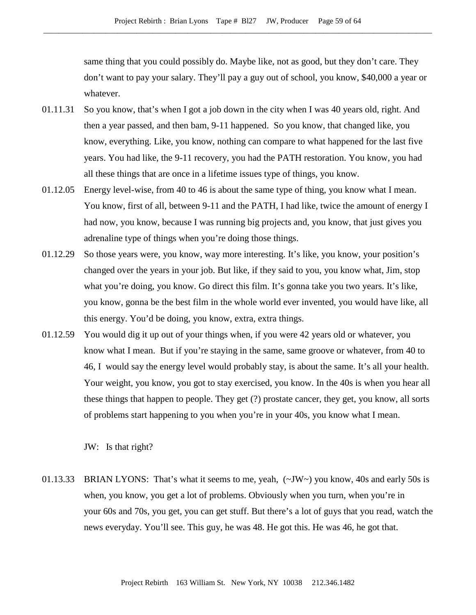same thing that you could possibly do. Maybe like, not as good, but they don't care. They don't want to pay your salary. They'll pay a guy out of school, you know, \$40,000 a year or whatever.

- 01.11.31 So you know, that's when I got a job down in the city when I was 40 years old, right. And then a year passed, and then bam, 9-11 happened. So you know, that changed like, you know, everything. Like, you know, nothing can compare to what happened for the last five years. You had like, the 9-11 recovery, you had the PATH restoration. You know, you had all these things that are once in a lifetime issues type of things, you know.
- 01.12.05 Energy level-wise, from 40 to 46 is about the same type of thing, you know what I mean. You know, first of all, between 9-11 and the PATH, I had like, twice the amount of energy I had now, you know, because I was running big projects and, you know, that just gives you adrenaline type of things when you're doing those things.
- 01.12.29 So those years were, you know, way more interesting. It's like, you know, your position's changed over the years in your job. But like, if they said to you, you know what, Jim, stop what you're doing, you know. Go direct this film. It's gonna take you two years. It's like, you know, gonna be the best film in the whole world ever invented, you would have like, all this energy. You'd be doing, you know, extra, extra things.
- 01.12.59 You would dig it up out of your things when, if you were 42 years old or whatever, you know what I mean. But if you're staying in the same, same groove or whatever, from 40 to 46, I would say the energy level would probably stay, is about the same. It's all your health. Your weight, you know, you got to stay exercised, you know. In the 40s is when you hear all these things that happen to people. They get (?) prostate cancer, they get, you know, all sorts of problems start happening to you when you're in your 40s, you know what I mean.

JW: Is that right?

01.13.33 BRIAN LYONS: That's what it seems to me, yeah,  $(\sim JW \sim)$  you know, 40s and early 50s is when, you know, you get a lot of problems. Obviously when you turn, when you're in your 60s and 70s, you get, you can get stuff. But there's a lot of guys that you read, watch the news everyday. You'll see. This guy, he was 48. He got this. He was 46, he got that.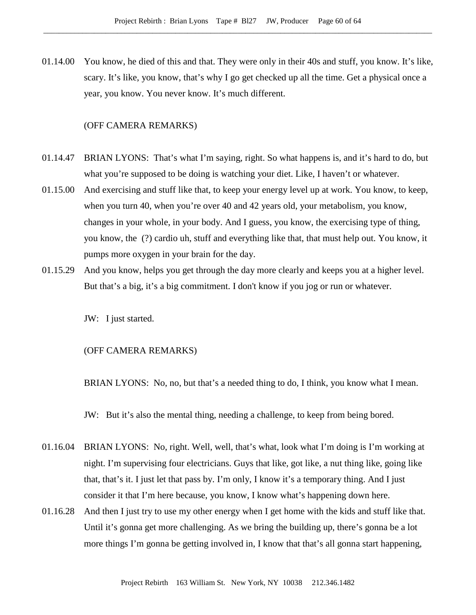01.14.00 You know, he died of this and that. They were only in their 40s and stuff, you know. It's like, scary. It's like, you know, that's why I go get checked up all the time. Get a physical once a year, you know. You never know. It's much different.

# (OFF CAMERA REMARKS)

- 01.14.47 BRIAN LYONS: That's what I'm saying, right. So what happens is, and it's hard to do, but what you're supposed to be doing is watching your diet. Like, I haven't or whatever.
- 01.15.00 And exercising and stuff like that, to keep your energy level up at work. You know, to keep, when you turn 40, when you're over 40 and 42 years old, your metabolism, you know, changes in your whole, in your body. And I guess, you know, the exercising type of thing, you know, the (?) cardio uh, stuff and everything like that, that must help out. You know, it pumps more oxygen in your brain for the day.
- 01.15.29 And you know, helps you get through the day more clearly and keeps you at a higher level. But that's a big, it's a big commitment. I don't know if you jog or run or whatever.

JW: I just started.

# (OFF CAMERA REMARKS)

BRIAN LYONS: No, no, but that's a needed thing to do, I think, you know what I mean.

JW: But it's also the mental thing, needing a challenge, to keep from being bored.

- 01.16.04 BRIAN LYONS: No, right. Well, well, that's what, look what I'm doing is I'm working at night. I'm supervising four electricians. Guys that like, got like, a nut thing like, going like that, that's it. I just let that pass by. I'm only, I know it's a temporary thing. And I just consider it that I'm here because, you know, I know what's happening down here.
- 01.16.28 And then I just try to use my other energy when I get home with the kids and stuff like that. Until it's gonna get more challenging. As we bring the building up, there's gonna be a lot more things I'm gonna be getting involved in, I know that that's all gonna start happening,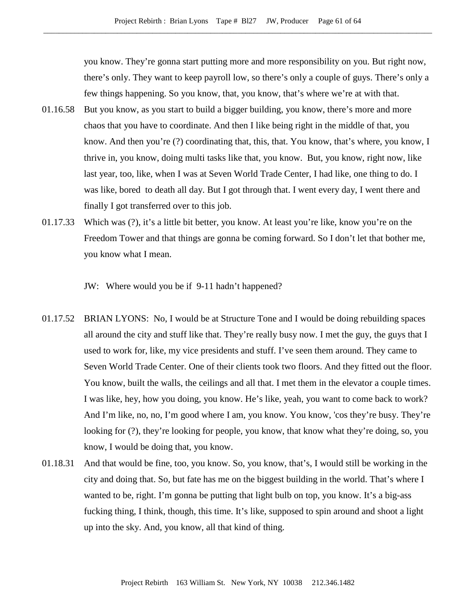you know. They're gonna start putting more and more responsibility on you. But right now, there's only. They want to keep payroll low, so there's only a couple of guys. There's only a few things happening. So you know, that, you know, that's where we're at with that.

- 01.16.58 But you know, as you start to build a bigger building, you know, there's more and more chaos that you have to coordinate. And then I like being right in the middle of that, you know. And then you're (?) coordinating that, this, that. You know, that's where, you know, I thrive in, you know, doing multi tasks like that, you know. But, you know, right now, like last year, too, like, when I was at Seven World Trade Center, I had like, one thing to do. I was like, bored to death all day. But I got through that. I went every day, I went there and finally I got transferred over to this job.
- 01.17.33 Which was (?), it's a little bit better, you know. At least you're like, know you're on the Freedom Tower and that things are gonna be coming forward. So I don't let that bother me, you know what I mean.

JW: Where would you be if 9-11 hadn't happened?

- 01.17.52 BRIAN LYONS: No, I would be at Structure Tone and I would be doing rebuilding spaces all around the city and stuff like that. They're really busy now. I met the guy, the guys that I used to work for, like, my vice presidents and stuff. I've seen them around. They came to Seven World Trade Center. One of their clients took two floors. And they fitted out the floor. You know, built the walls, the ceilings and all that. I met them in the elevator a couple times. I was like, hey, how you doing, you know. He's like, yeah, you want to come back to work? And I'm like, no, no, I'm good where I am, you know. You know, 'cos they're busy. They're looking for (?), they're looking for people, you know, that know what they're doing, so, you know, I would be doing that, you know.
- 01.18.31 And that would be fine, too, you know. So, you know, that's, I would still be working in the city and doing that. So, but fate has me on the biggest building in the world. That's where I wanted to be, right. I'm gonna be putting that light bulb on top, you know. It's a big-ass fucking thing, I think, though, this time. It's like, supposed to spin around and shoot a light up into the sky. And, you know, all that kind of thing.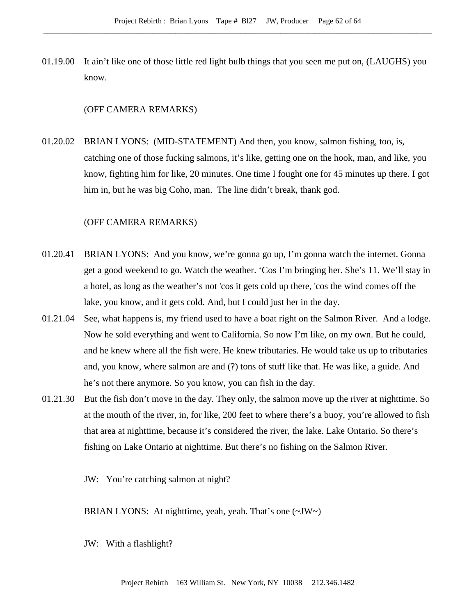01.19.00 It ain't like one of those little red light bulb things that you seen me put on, (LAUGHS) you know.

#### (OFF CAMERA REMARKS)

01.20.02 BRIAN LYONS: (MID-STATEMENT) And then, you know, salmon fishing, too, is, catching one of those fucking salmons, it's like, getting one on the hook, man, and like, you know, fighting him for like, 20 minutes. One time I fought one for 45 minutes up there. I got him in, but he was big Coho, man. The line didn't break, thank god.

# (OFF CAMERA REMARKS)

- 01.20.41 BRIAN LYONS: And you know, we're gonna go up, I'm gonna watch the internet. Gonna get a good weekend to go. Watch the weather. 'Cos I'm bringing her. She's 11. We'll stay in a hotel, as long as the weather's not 'cos it gets cold up there, 'cos the wind comes off the lake, you know, and it gets cold. And, but I could just her in the day.
- 01.21.04 See, what happens is, my friend used to have a boat right on the Salmon River. And a lodge. Now he sold everything and went to California. So now I'm like, on my own. But he could, and he knew where all the fish were. He knew tributaries. He would take us up to tributaries and, you know, where salmon are and (?) tons of stuff like that. He was like, a guide. And he's not there anymore. So you know, you can fish in the day.
- 01.21.30 But the fish don't move in the day. They only, the salmon move up the river at nighttime. So at the mouth of the river, in, for like, 200 feet to where there's a buoy, you're allowed to fish that area at nighttime, because it's considered the river, the lake. Lake Ontario. So there's fishing on Lake Ontario at nighttime. But there's no fishing on the Salmon River.

JW: You're catching salmon at night?

BRIAN LYONS: At nighttime, yeah, yeah. That's one (~JW~)

JW: With a flashlight?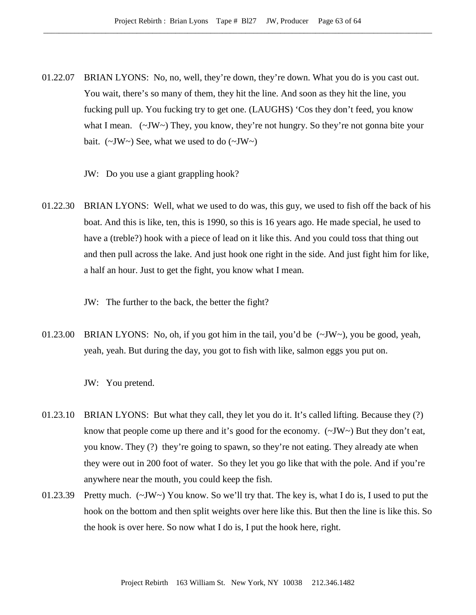- 01.22.07 BRIAN LYONS: No, no, well, they're down, they're down. What you do is you cast out. You wait, there's so many of them, they hit the line. And soon as they hit the line, you fucking pull up. You fucking try to get one. (LAUGHS) 'Cos they don't feed, you know what I mean. (~JW~) They, you know, they're not hungry. So they're not gonna bite your bait.  $(\sim JW)$  See, what we used to do  $(\sim JW)$ 
	- JW: Do you use a giant grappling hook?
- 01.22.30 BRIAN LYONS: Well, what we used to do was, this guy, we used to fish off the back of his boat. And this is like, ten, this is 1990, so this is 16 years ago. He made special, he used to have a (treble?) hook with a piece of lead on it like this. And you could toss that thing out and then pull across the lake. And just hook one right in the side. And just fight him for like, a half an hour. Just to get the fight, you know what I mean.
	- JW: The further to the back, the better the fight?
- 01.23.00 BRIAN LYONS: No, oh, if you got him in the tail, you'd be (~JW~), you be good, yeah, yeah, yeah. But during the day, you got to fish with like, salmon eggs you put on.
	- JW: You pretend.
- 01.23.10 BRIAN LYONS: But what they call, they let you do it. It's called lifting. Because they (?) know that people come up there and it's good for the economy.  $(\sim JW)$  But they don't eat, you know. They (?) they're going to spawn, so they're not eating. They already ate when they were out in 200 foot of water. So they let you go like that with the pole. And if you're anywhere near the mouth, you could keep the fish.
- 01.23.39 Pretty much. (~JW~) You know. So we'll try that. The key is, what I do is, I used to put the hook on the bottom and then split weights over here like this. But then the line is like this. So the hook is over here. So now what I do is, I put the hook here, right.